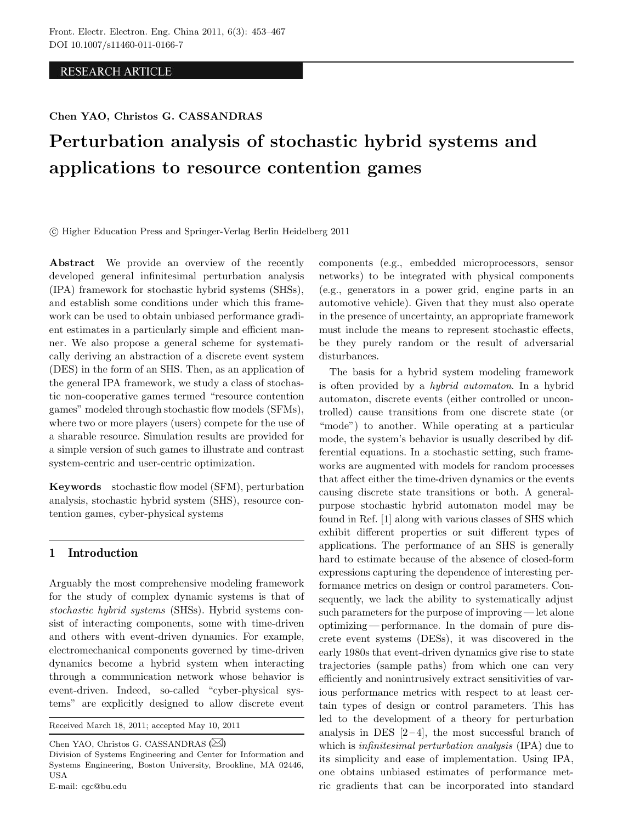## **RESEARCH ARTICLE**

## **Chen YAO, Christos G. CASSANDRAS**

# **Perturbation analysis of stochastic hybrid systems and applications to resource contention games**

-c Higher Education Press and Springer-Verlag Berlin Heidelberg 2011

**Abstract** We provide an overview of the recently developed general infinitesimal perturbation analysis (IPA) framework for stochastic hybrid systems (SHSs), and establish some conditions under which this framework can be used to obtain unbiased performance gradient estimates in a particularly simple and efficient manner. We also propose a general scheme for systematically deriving an abstraction of a discrete event system (DES) in the form of an SHS. Then, as an application of the general IPA framework, we study a class of stochastic non-cooperative games termed "resource contention games" modeled through stochastic flow models (SFMs), where two or more players (users) compete for the use of a sharable resource. Simulation results are provided for a simple version of such games to illustrate and contrast system-centric and user-centric optimization.

**Keywords** stochastic flow model (SFM), perturbation analysis, stochastic hybrid system (SHS), resource contention games, cyber-physical systems

## **1 Introduction**

Arguably the most comprehensive modeling framework for the study of complex dynamic systems is that of *stochastic hybrid systems* (SHSs). Hybrid systems consist of interacting components, some with time-driven and others with event-driven dynamics. For example, electromechanical components governed by time-driven dynamics become a hybrid system when interacting through a communication network whose behavior is event-driven. Indeed, so-called "cyber-physical systems" are explicitly designed to allow discrete event

Received March 18, 2011; accepted May 10, 2011

Chen YAO, Christos G. CASSANDRAS

components (e.g., embedded microprocessors, sensor networks) to be integrated with physical components (e.g., generators in a power grid, engine parts in an automotive vehicle). Given that they must also operate in the presence of uncertainty, an appropriate framework must include the means to represent stochastic effects, be they purely random or the result of adversarial disturbances.

The basis for a hybrid system modeling framework is often provided by a *hybrid automaton*. In a hybrid automaton, discrete events (either controlled or uncontrolled) cause transitions from one discrete state (or "mode") to another. While operating at a particular mode, the system's behavior is usually described by differential equations. In a stochastic setting, such frameworks are augmented with models for random processes that affect either the time-driven dynamics or the events causing discrete state transitions or both. A generalpurpose stochastic hybrid automaton model may be found in Ref. [1] along with various classes of SHS which exhibit different properties or suit different types of applications. The performance of an SHS is generally hard to estimate because of the absence of closed-form expressions capturing the dependence of interesting performance metrics on design or control parameters. Consequently, we lack the ability to systematically adjust such parameters for the purpose of improving— let alone optimizing— performance. In the domain of pure discrete event systems (DESs), it was discovered in the early 1980s that event-driven dynamics give rise to state trajectories (sample paths) from which one can very efficiently and nonintrusively extract sensitivities of various performance metrics with respect to at least certain types of design or control parameters. This has led to the development of a theory for perturbation analysis in DES  $[2-4]$ , the most successful branch of which is *infinitesimal perturbation analysis* (IPA) due to its simplicity and ease of implementation. Using IPA, one obtains unbiased estimates of performance metric gradients that can be incorporated into standard

Division of Systems Engineering and Center for Information and Systems Engineering, Boston University, Brookline, MA 02446, USA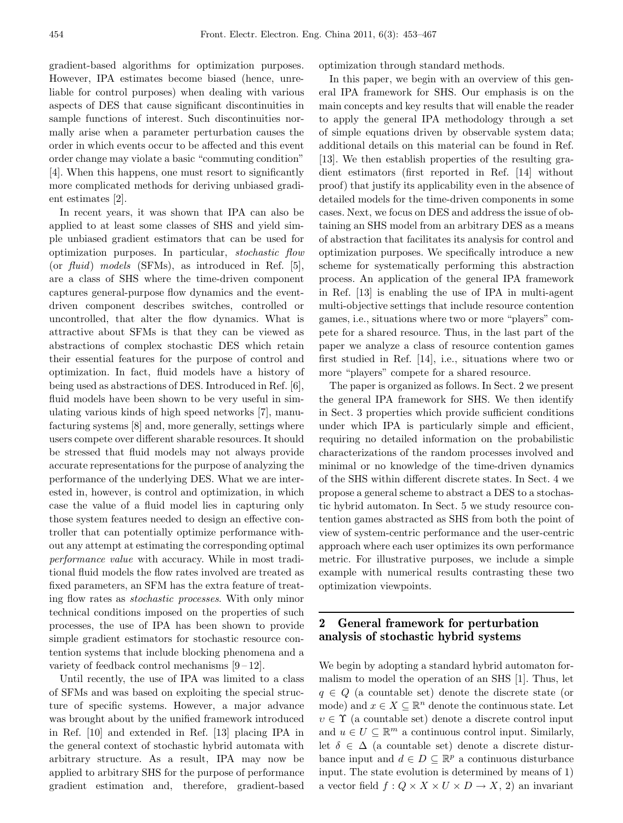gradient-based algorithms for optimization purposes. However, IPA estimates become biased (hence, unreliable for control purposes) when dealing with various aspects of DES that cause significant discontinuities in sample functions of interest. Such discontinuities normally arise when a parameter perturbation causes the order in which events occur to be affected and this event order change may violate a basic "commuting condition" [4]. When this happens, one must resort to significantly more complicated methods for deriving unbiased gradient estimates [2].

In recent years, it was shown that IPA can also be applied to at least some classes of SHS and yield simple unbiased gradient estimators that can be used for optimization purposes. In particular, *stochastic flow* (or *fluid*) *models* (SFMs), as introduced in Ref. [5], are a class of SHS where the time-driven component captures general-purpose flow dynamics and the eventdriven component describes switches, controlled or uncontrolled, that alter the flow dynamics. What is attractive about SFMs is that they can be viewed as abstractions of complex stochastic DES which retain their essential features for the purpose of control and optimization. In fact, fluid models have a history of being used as abstractions of DES. Introduced in Ref. [6], fluid models have been shown to be very useful in simulating various kinds of high speed networks [7], manufacturing systems [8] and, more generally, settings where users compete over different sharable resources. It should be stressed that fluid models may not always provide accurate representations for the purpose of analyzing the performance of the underlying DES. What we are interested in, however, is control and optimization, in which case the value of a fluid model lies in capturing only those system features needed to design an effective controller that can potentially optimize performance without any attempt at estimating the corresponding optimal *performance value* with accuracy. While in most traditional fluid models the flow rates involved are treated as fixed parameters, an SFM has the extra feature of treating flow rates as *stochastic processes*. With only minor technical conditions imposed on the properties of such processes, the use of IPA has been shown to provide simple gradient estimators for stochastic resource contention systems that include blocking phenomena and a variety of feedback control mechanisms  $[9-12]$ .

Until recently, the use of IPA was limited to a class of SFMs and was based on exploiting the special structure of specific systems. However, a major advance was brought about by the unified framework introduced in Ref. [10] and extended in Ref. [13] placing IPA in the general context of stochastic hybrid automata with arbitrary structure. As a result, IPA may now be applied to arbitrary SHS for the purpose of performance gradient estimation and, therefore, gradient-based

optimization through standard methods.

In this paper, we begin with an overview of this general IPA framework for SHS. Our emphasis is on the main concepts and key results that will enable the reader to apply the general IPA methodology through a set of simple equations driven by observable system data; additional details on this material can be found in Ref. [13]. We then establish properties of the resulting gradient estimators (first reported in Ref. [14] without proof) that justify its applicability even in the absence of detailed models for the time-driven components in some cases. Next, we focus on DES and address the issue of obtaining an SHS model from an arbitrary DES as a means of abstraction that facilitates its analysis for control and optimization purposes. We specifically introduce a new scheme for systematically performing this abstraction process. An application of the general IPA framework in Ref. [13] is enabling the use of IPA in multi-agent multi-objective settings that include resource contention games, i.e., situations where two or more "players" compete for a shared resource. Thus, in the last part of the paper we analyze a class of resource contention games first studied in Ref. [14], i.e., situations where two or more "players" compete for a shared resource.

The paper is organized as follows. In Sect. 2 we present the general IPA framework for SHS. We then identify in Sect. 3 properties which provide sufficient conditions under which IPA is particularly simple and efficient, requiring no detailed information on the probabilistic characterizations of the random processes involved and minimal or no knowledge of the time-driven dynamics of the SHS within different discrete states. In Sect. 4 we propose a general scheme to abstract a DES to a stochastic hybrid automaton. In Sect. 5 we study resource contention games abstracted as SHS from both the point of view of system-centric performance and the user-centric approach where each user optimizes its own performance metric. For illustrative purposes, we include a simple example with numerical results contrasting these two optimization viewpoints.

## **2 General framework for perturbation analysis of stochastic hybrid systems**

We begin by adopting a standard hybrid automaton formalism to model the operation of an SHS [1]. Thus, let  $q \in Q$  (a countable set) denote the discrete state (or mode) and  $x \in X \subseteq \mathbb{R}^n$  denote the continuous state. Let  $v \in \Upsilon$  (a countable set) denote a discrete control input and  $u \in U \subseteq \mathbb{R}^m$  a continuous control input. Similarly, let  $\delta \in \Delta$  (a countable set) denote a discrete disturbance input and  $d \in D \subseteq \mathbb{R}^p$  a continuous disturbance input. The state evolution is determined by means of 1) a vector field  $f: Q \times X \times U \times D \to X$ , 2) an invariant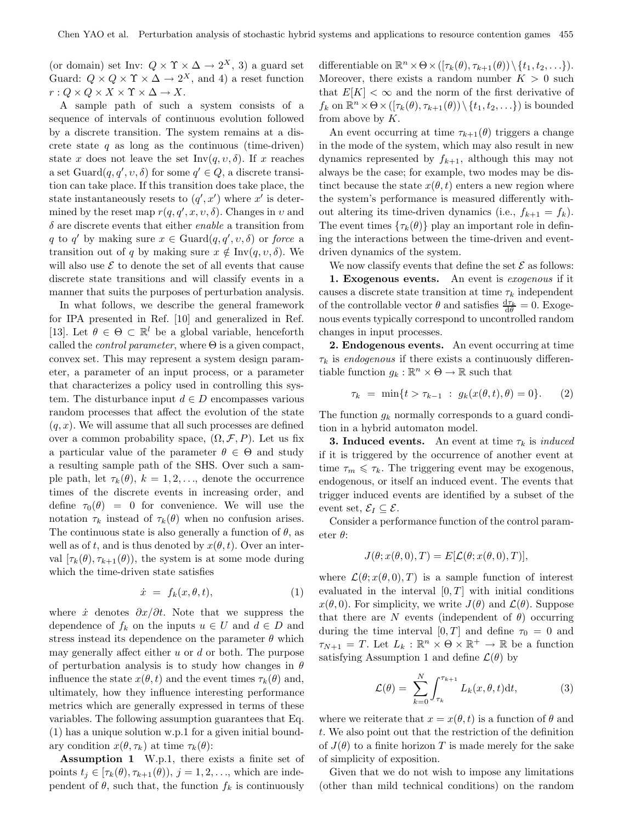(or domain) set Inv:  $Q \times \Upsilon \times \Delta \rightarrow 2^X$ , 3) a guard set Guard:  $Q \times Q \times \Upsilon \times \Delta \rightarrow 2^X$ , and 4) a reset function  $r: Q \times Q \times X \times \Upsilon \times \Delta \rightarrow X.$ 

A sample path of such a system consists of a sequence of intervals of continuous evolution followed by a discrete transition. The system remains at a discrete state  $q$  as long as the continuous (time-driven) state x does not leave the set Inv $(q, v, \delta)$ . If x reaches a set  $\text{Guard}(q, q', v, \delta)$  for some  $q' \in Q$ , a discrete transition can take place. If this transition does take place, the state instantaneously resets to  $(q', x')$  where x' is determined by the reset map  $r(q, q', x, v, \delta)$ . Changes in v and δ are discrete events that either *enable* a transition from q to q' by making sure  $x \in \text{Guard}(q, q', v, \delta)$  or *force* a transition out of q by making sure  $x \notin Inv(q, v, \delta)$ . We will also use  $\mathcal E$  to denote the set of all events that cause discrete state transitions and will classify events in a manner that suits the purposes of perturbation analysis.

In what follows, we describe the general framework for IPA presented in Ref. [10] and generalized in Ref. [13]. Let  $\theta \in \Theta \subset \mathbb{R}^l$  be a global variable, henceforth called the *control parameter*, where  $\Theta$  is a given compact, convex set. This may represent a system design parameter, a parameter of an input process, or a parameter that characterizes a policy used in controlling this system. The disturbance input  $d \in D$  encompasses various random processes that affect the evolution of the state  $(q, x)$ . We will assume that all such processes are defined over a common probability space,  $(\Omega, \mathcal{F}, P)$ . Let us fix a particular value of the parameter  $\theta \in \Theta$  and study a resulting sample path of the SHS. Over such a sample path, let  $\tau_k(\theta)$ ,  $k = 1, 2, \ldots$ , denote the occurrence times of the discrete events in increasing order, and define  $\tau_0(\theta) = 0$  for convenience. We will use the notation  $\tau_k$  instead of  $\tau_k(\theta)$  when no confusion arises. The continuous state is also generally a function of  $\theta$ , as well as of t, and is thus denoted by  $x(\theta, t)$ . Over an interval  $[\tau_k(\theta), \tau_{k+1}(\theta)]$ , the system is at some mode during which the time-driven state satisfies

$$
\dot{x} = f_k(x, \theta, t), \tag{1}
$$

where  $\dot{x}$  denotes  $\partial x/\partial t$ . Note that we suppress the dependence of  $f_k$  on the inputs  $u \in U$  and  $d \in D$  and stress instead its dependence on the parameter  $\theta$  which may generally affect either  $u$  or  $d$  or both. The purpose of perturbation analysis is to study how changes in  $\theta$ influence the state  $x(\theta, t)$  and the event times  $\tau_k(\theta)$  and, ultimately, how they influence interesting performance metrics which are generally expressed in terms of these variables. The following assumption guarantees that Eq. (1) has a unique solution w.p.1 for a given initial boundary condition  $x(\theta, \tau_k)$  at time  $\tau_k(\theta)$ :

**Assumption 1** W.p.1, there exists a finite set of points  $t_j \in [\tau_k(\theta), \tau_{k+1}(\theta)), j = 1, 2, \ldots$ , which are independent of  $\theta$ , such that, the function  $f_k$  is continuously

differentiable on  $\mathbb{R}^n \times \Theta \times (\tau_k(\theta), \tau_{k+1}(\theta)) \setminus \{t_1, t_2, \ldots\}).$ Moreover, there exists a random number  $K > 0$  such that  $E[K] < \infty$  and the norm of the first derivative of  $f_k$  on  $\mathbb{R}^n \times \Theta \times (\tau_k(\theta), \tau_{k+1}(\theta)) \setminus \{t_1, t_2, \ldots\})$  is bounded from above by  $K$ .

An event occurring at time  $\tau_{k+1}(\theta)$  triggers a change in the mode of the system, which may also result in new dynamics represented by  $f_{k+1}$ , although this may not always be the case; for example, two modes may be distinct because the state  $x(\theta, t)$  enters a new region where the system's performance is measured differently without altering its time-driven dynamics (i.e.,  $f_{k+1} = f_k$ ). The event times  $\{\tau_k(\theta)\}\$  play an important role in defining the interactions between the time-driven and eventdriven dynamics of the system.

We now classify events that define the set  $\mathcal E$  as follows: **1. Exogenous events.** An event is *exogenous* if it causes a discrete state transition at time  $\tau_k$  independent of the controllable vector  $\theta$  and satisfies  $\frac{d\tau_k}{d\theta} = 0$ . Exoge-<br>nous events typically correspond to uncontrolled random nous events typically correspond to uncontrolled random changes in input processes.

**2. Endogenous events.** An event occurring at time  $\tau_k$  is *endogenous* if there exists a continuously differentiable function  $g_k : \mathbb{R}^n \times \Theta \to \mathbb{R}$  such that

$$
\tau_k = \min\{t > \tau_{k-1} : g_k(x(\theta, t), \theta) = 0\}.
$$
 (2)

The function  $g_k$  normally corresponds to a guard condition in a hybrid automaton model.

**3. Induced events.** An event at time  $\tau_k$  is *induced* if it is triggered by the occurrence of another event at time  $\tau_m \leq \tau_k$ . The triggering event may be exogenous, endogenous, or itself an induced event. The events that trigger induced events are identified by a subset of the event set,  $\mathcal{E}_I \subseteq \mathcal{E}$ .

Consider a performance function of the control parameter  $\theta$ :

$$
J(\theta; x(\theta, 0), T) = E[\mathcal{L}(\theta; x(\theta, 0), T)],
$$

where  $\mathcal{L}(\theta; x(\theta,0), T)$  is a sample function of interest evaluated in the interval  $[0, T]$  with initial conditions  $x(\theta, 0)$ . For simplicity, we write  $J(\theta)$  and  $\mathcal{L}(\theta)$ . Suppose that there are N events (independent of  $\theta$ ) occurring during the time interval  $[0, T]$  and define  $\tau_0 = 0$  and  $\tau_{N+1} = T$ . Let  $L_k : \mathbb{R}^n \times \Theta \times \mathbb{R}^+ \to \mathbb{R}$  be a function satisfying Assumption 1 and define  $\mathcal{L}(\theta)$  by

$$
\mathcal{L}(\theta) = \sum_{k=0}^{N} \int_{\tau_k}^{\tau_{k+1}} L_k(x, \theta, t) dt,
$$
 (3)

where we reiterate that  $x = x(\theta, t)$  is a function of  $\theta$  and t. We also point out that the restriction of the definition of  $J(\theta)$  to a finite horizon T is made merely for the sake of simplicity of exposition.

Given that we do not wish to impose any limitations (other than mild technical conditions) on the random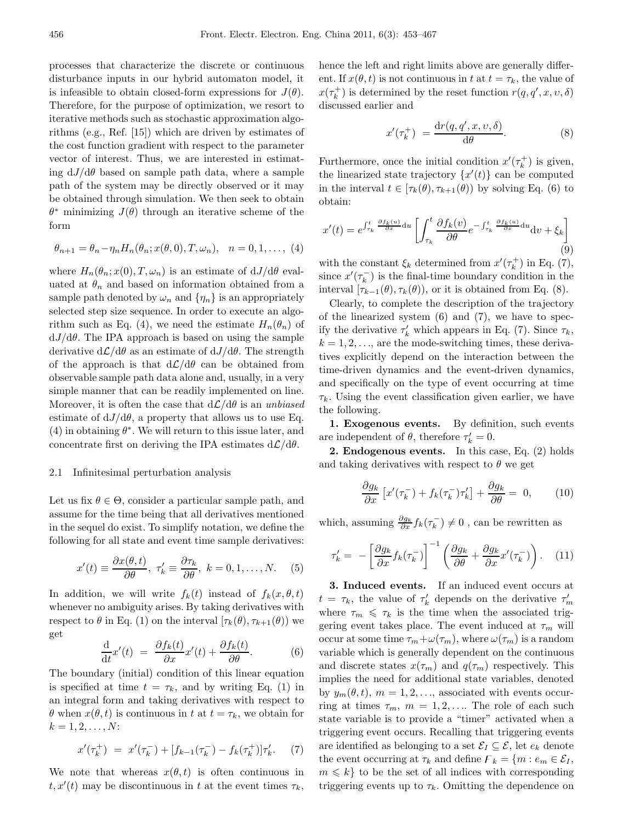processes that characterize the discrete or continuous disturbance inputs in our hybrid automaton model, it is infeasible to obtain closed-form expressions for  $J(\theta)$ . Therefore, for the purpose of optimization, we resort to iterative methods such as stochastic approximation algorithms (e.g., Ref. [15]) which are driven by estimates of the cost function gradient with respect to the parameter vector of interest. Thus, we are interested in estimating  $dJ/d\theta$  based on sample path data, where a sample path of the system may be directly observed or it may be obtained through simulation. We then seek to obtain θ<sup>∗</sup> minimizing J(θ) through an iterative scheme of the form

$$
\theta_{n+1} = \theta_n - \eta_n H_n(\theta_n; x(\theta, 0), T, \omega_n), \quad n = 0, 1, ..., (4)
$$

where  $H_n(\theta_n; x(0), T, \omega_n)$  is an estimate of  $dJ/d\theta$  evaluated at  $\theta_n$  and based on information obtained from a sample path denoted by  $\omega_n$  and  $\{\eta_n\}$  is an appropriately selected step size sequence. In order to execute an algorithm such as Eq. (4), we need the estimate  $H_n(\theta_n)$  of  $dJ/d\theta$ . The IPA approach is based on using the sample derivative  $d\mathcal{L}/d\theta$  as an estimate of  $dJ/d\theta$ . The strength of the approach is that  $d\mathcal{L}/d\theta$  can be obtained from observable sample path data alone and, usually, in a very simple manner that can be readily implemented on line. Moreover, it is often the case that  $d\mathcal{L}/d\theta$  is an *unbiased* estimate of  $dJ/d\theta$ , a property that allows us to use Eq. (4) in obtaining  $\theta^*$ . We will return to this issue later, and concentrate first on deriving the IPA estimates  $d\mathcal{L}/d\theta$ .

#### 2.1 Infinitesimal perturbation analysis

Let us fix  $\theta \in \Theta$ , consider a particular sample path, and assume for the time being that all derivatives mentioned in the sequel do exist. To simplify notation, we define the following for all state and event time sample derivatives:

$$
x'(t) \equiv \frac{\partial x(\theta, t)}{\partial \theta}, \ \tau'_k \equiv \frac{\partial \tau_k}{\partial \theta}, \ k = 0, 1, \dots, N. \tag{5}
$$

In addition, we will write  $f_k(t)$  instead of  $f_k(x, \theta, t)$ whenever no ambiguity arises. By taking derivatives with respect to  $\theta$  in Eq. (1) on the interval  $[\tau_k(\theta), \tau_{k+1}(\theta)]$  we get

$$
\frac{\mathrm{d}}{\mathrm{d}t}x'(t) = \frac{\partial f_k(t)}{\partial x}x'(t) + \frac{\partial f_k(t)}{\partial \theta}.
$$
 (6)

The boundary (initial) condition of this linear equation is specified at time  $t = \tau_k$ , and by writing Eq. (1) in an integral form and taking derivatives with respect to θ when  $x(θ, t)$  is continuous in t at  $t = τ_k$ , we obtain for  $k = 1, 2, \ldots, N$ :

$$
x'(\tau_k^+) = x'(\tau_k^-) + [f_{k-1}(\tau_k^-) - f_k(\tau_k^+)]\tau_k'. \tag{7}
$$

We note that whereas  $x(\theta, t)$  is often continuous in  $t, x'(t)$  may be discontinuous in t at the event times  $\tau_k$ , hence the left and right limits above are generally different. If  $x(\theta, t)$  is not continuous in t at  $t = \tau_k$ , the value of  $x(\tau_k^+)$  is determined by the reset function  $r(q, q', x, v, \delta)$ <br>discussed earlier and discussed earlier and

$$
x'(\tau_k^+) = \frac{\mathrm{d}r(q, q', x, v, \delta)}{\mathrm{d}\theta}.\tag{8}
$$

Furthermore, once the initial condition  $x'(\tau_k^+)$  is given,<br>the linearized state trajectory  $\{x'(t)\}$  can be computed the linearized state trajectory  $\{x'(t)\}\$ can be computed in the interval  $t \in [\tau_k(\theta), \tau_{k+1}(\theta)]$  by solving Eq. (6) to obtain:

$$
x'(t) = e^{\int_{\tau_k}^t \frac{\partial f_k(u)}{\partial x} du} \left[ \int_{\tau_k}^t \frac{\partial f_k(v)}{\partial \theta} e^{-\int_{\tau_k}^t \frac{\partial f_k(u)}{\partial x} du} dv + \xi_k \right]
$$
(9)

with the constant  $\xi_k$  determined from  $x'(\tau_k^+)$  in Eq. (7),<br>since  $x'(\tau_k^-)$  is the final-time boundary condition in the since  $x'(\tau_k^-)$  is the final-time boundary condition in the interval  $[\tau_{k-1}(\theta), \tau_k(\theta)]$  or it is obtained from Eq. (8) interval  $[\tau_{k-1}(\theta), \tau_k(\theta)]$ , or it is obtained from Eq. (8).

Clearly, to complete the description of the trajectory of the linearized system (6) and (7), we have to specify the derivative  $\tau'_k$  which appears in Eq. (7). Since  $\tau_k$ ,<br> $k = 1, 2, \ldots$  are the mode switching times, these derives  $k = 1, 2, \ldots$ , are the mode-switching times, these derivatives explicitly depend on the interaction between the time-driven dynamics and the event-driven dynamics, and specifically on the type of event occurring at time  $\tau_k$ . Using the event classification given earlier, we have the following.

**1. Exogenous events.** By definition, such events are independent of  $\theta$ , therefore  $\tau'_{k} = 0$ .

**2. Endogenous events.** In this case, Eq. (2) holds and taking derivatives with respect to  $\theta$  we get

$$
\frac{\partial g_k}{\partial x} \left[ x'(\tau_k^-) + f_k(\tau_k^-) \tau_k' \right] + \frac{\partial g_k}{\partial \theta} = 0, \qquad (10)
$$

which, assuming  $\frac{\partial g_k}{\partial x} f_k(\tau_k^-) \neq 0$ , can be rewritten as

$$
\tau'_{k} = -\left[\frac{\partial g_{k}}{\partial x} f_{k}(\tau_{k}^{-})\right]^{-1} \left(\frac{\partial g_{k}}{\partial \theta} + \frac{\partial g_{k}}{\partial x} x'(\tau_{k}^{-})\right). \quad (11)
$$

**3. Induced events.** If an induced event occurs at  $t = \tau_k$ , the value of  $\tau'_k$  depends on the derivative  $\tau'_i$ <br>where  $\tau \leq \tau_k$  is the time when the associated tries where  $\tau_m \leq \tau_k$  is the time when the associated trig-<br>number when the associated the multiplication gering event takes place. The event induced at  $\tau_m$  will occur at some time  $\tau_m+\omega(\tau_m)$ , where  $\omega(\tau_m)$  is a random variable which is generally dependent on the continuous and discrete states  $x(\tau_m)$  and  $q(\tau_m)$  respectively. This implies the need for additional state variables, denoted by  $y_m(\theta, t)$ ,  $m = 1, 2, \ldots$ , associated with events occurring at times  $\tau_m$ ,  $m = 1, 2, \ldots$  The role of each such state variable is to provide a "timer" activated when a triggering event occurs. Recalling that triggering events are identified as belonging to a set  $\mathcal{E}_I \subseteq \mathcal{E}$ , let  $e_k$  denote the event occurring at  $\tau_k$  and define  $\overline{F}_k = \{m : e_m \in \mathcal{E}_I,$  $m \leq k$  to be the set of all indices with corresponding triggering events up to  $\tau_k$ . Omitting the dependence on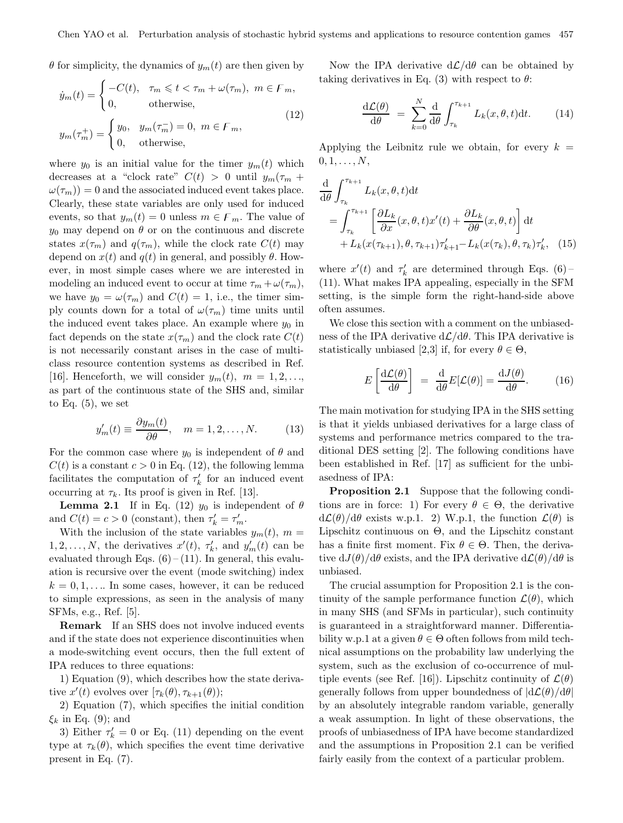$\theta$  for simplicity, the dynamics of  $y_m(t)$  are then given by

$$
\dot{y}_m(t) = \begin{cases}\n-C(t), & \tau_m \leq t < \tau_m + \omega(\tau_m), \ m \in F_m, \\
0, & \text{otherwise,} \\
y_m(\tau_m^+) = \begin{cases}\ny_0, & y_m(\tau_m^-) = 0, \ m \in F_m, \\
0, & \text{otherwise,} \\
\end{cases}\n\end{cases}\n\tag{12}
$$

where  $y_0$  is an initial value for the timer  $y_m(t)$  which decreases at a "clock rate"  $C(t) > 0$  until  $y_m(\tau_m +$  $\omega(\tau_m)$  = 0 and the associated induced event takes place. Clearly, these state variables are only used for induced events, so that  $y_m(t) = 0$  unless  $m \in F_m$ . The value of  $y_0$  may depend on  $\theta$  or on the continuous and discrete states  $x(\tau_m)$  and  $q(\tau_m)$ , while the clock rate  $C(t)$  may depend on  $x(t)$  and  $q(t)$  in general, and possibly  $\theta$ . However, in most simple cases where we are interested in modeling an induced event to occur at time  $\tau_m + \omega(\tau_m)$ , we have  $y_0 = \omega(\tau_m)$  and  $C(t) = 1$ , i.e., the timer simply counts down for a total of  $\omega(\tau_m)$  time units until the induced event takes place. An example where  $y_0$  in fact depends on the state  $x(\tau_m)$  and the clock rate  $C(t)$ is not necessarily constant arises in the case of multiclass resource contention systems as described in Ref. [16]. Henceforth, we will consider  $y_m(t)$ ,  $m = 1, 2, \ldots$ , as part of the continuous state of the SHS and, similar to Eq.  $(5)$ , we set

$$
y'_{m}(t) \equiv \frac{\partial y_{m}(t)}{\partial \theta}, \quad m = 1, 2, \dots, N. \tag{13}
$$

For the common case where  $y_0$  is independent of  $\theta$  and  $C(t)$  is a constant  $c > 0$  in Eq. (12), the following lemma facilitates the computation of  $\tau'_{k}$  for an induced event<br>convergence  $\tau_{k}$ . It are resolved in Ref. [12] occurring at  $\tau_k$ . Its proof is given in Ref. [13].

**Lemma 2.1** If in Eq. (12)  $y_0$  is independent of  $\theta$ and  $C(t) = c > 0$  (constant), then  $\tau'_{k} = \tau'_{m}$ .<br>With the inclusion of the state variables

With the inclusion of the state variables  $y_m(t)$ ,  $m =$ 1, 2,..., N, the derivatives  $x'(t)$ ,  $\tau'_k$ , and  $y'_m(t)$  can be explused through Eqs. (6) (11) In general, this evaluate evaluated through Eqs.  $(6)$  –  $(11)$ . In general, this evaluation is recursive over the event (mode switching) index  $k = 0, 1, \ldots$  In some cases, however, it can be reduced to simple expressions, as seen in the analysis of many SFMs, e.g., Ref. [5].

**Remark** If an SHS does not involve induced events and if the state does not experience discontinuities when a mode-switching event occurs, then the full extent of IPA reduces to three equations:

1) Equation (9), which describes how the state derivative  $x'(t)$  evolves over  $[\tau_k(\theta), \tau_{k+1}(\theta));$ <br>
(i) Expection (7) which expecting the

2) Equation (7), which specifies the initial condition  $\xi_k$  in Eq. (9); and

3) Either  $\tau'_{k} = 0$  or Eq. (11) depending on the event<br>consists  $\tau_{k}(\theta)$  which exercises the event time derivative type at  $\tau_k(\theta)$ , which specifies the event time derivative present in Eq. (7).

Now the IPA derivative  $d\mathcal{L}/d\theta$  can be obtained by taking derivatives in Eq. (3) with respect to  $\theta$ :

$$
\frac{\mathrm{d}\mathcal{L}(\theta)}{\mathrm{d}\theta} = \sum_{k=0}^{N} \frac{\mathrm{d}}{\mathrm{d}\theta} \int_{\tau_k}^{\tau_{k+1}} L_k(x,\theta,t) \mathrm{d}t. \tag{14}
$$

Applying the Leibnitz rule we obtain, for every  $k =$  $0, 1, \ldots, N$ ,

$$
\frac{\mathrm{d}}{\mathrm{d}\theta} \int_{\tau_k}^{\tau_{k+1}} L_k(x,\theta,t) \mathrm{d}t \n= \int_{\tau_k}^{\tau_{k+1}} \left[ \frac{\partial L_k}{\partial x}(x,\theta,t) x'(t) + \frac{\partial L_k}{\partial \theta}(x,\theta,t) \right] \mathrm{d}t \n+ L_k(x(\tau_{k+1}),\theta,\tau_{k+1}) \tau'_{k+1} - L_k(x(\tau_k),\theta,\tau_k) \tau'_k,
$$
\n(15)

where  $x'(t)$  and  $\tau'_k$  are determined through Eqs. (6) –<br>(11) What makes IPA appealing especially in the SEM (11). What makes IPA appealing, especially in the SFM setting, is the simple form the right-hand-side above often assumes.

We close this section with a comment on the unbiasedness of the IPA derivative  $d\mathcal{L}/d\theta$ . This IPA derivative is statistically unbiased [2,3] if, for every  $\theta \in \Theta$ ,

$$
E\left[\frac{\mathrm{d}\mathcal{L}(\theta)}{\mathrm{d}\theta}\right] = \frac{\mathrm{d}}{\mathrm{d}\theta}E[\mathcal{L}(\theta)] = \frac{\mathrm{d}J(\theta)}{\mathrm{d}\theta}.
$$
 (16)

The main motivation for studying IPA in the SHS setting is that it yields unbiased derivatives for a large class of systems and performance metrics compared to the traditional DES setting [2]. The following conditions have been established in Ref. [17] as sufficient for the unbiasedness of IPA:

**Proposition 2.1** Suppose that the following conditions are in force: 1) For every  $\theta \in \Theta$ , the derivative  $d\mathcal{L}(\theta)/d\theta$  exists w.p.1. 2) W.p.1, the function  $\mathcal{L}(\theta)$  is Lipschitz continuous on  $\Theta$ , and the Lipschitz constant has a finite first moment. Fix  $\theta \in \Theta$ . Then, the derivative  $dJ(\theta)/d\theta$  exists, and the IPA derivative  $d\mathcal{L}(\theta)/d\theta$  is unbiased.

The crucial assumption for Proposition 2.1 is the continuity of the sample performance function  $\mathcal{L}(\theta)$ , which in many SHS (and SFMs in particular), such continuity is guaranteed in a straightforward manner. Differentiability w.p.1 at a given  $\theta \in \Theta$  often follows from mild technical assumptions on the probability law underlying the system, such as the exclusion of co-occurrence of multiple events (see Ref. [16]). Lipschitz continuity of  $\mathcal{L}(\theta)$ generally follows from upper boundedness of  $|d\mathcal{L}(\theta)/d\theta|$ by an absolutely integrable random variable, generally a weak assumption. In light of these observations, the proofs of unbiasedness of IPA have become standardized and the assumptions in Proposition 2.1 can be verified fairly easily from the context of a particular problem.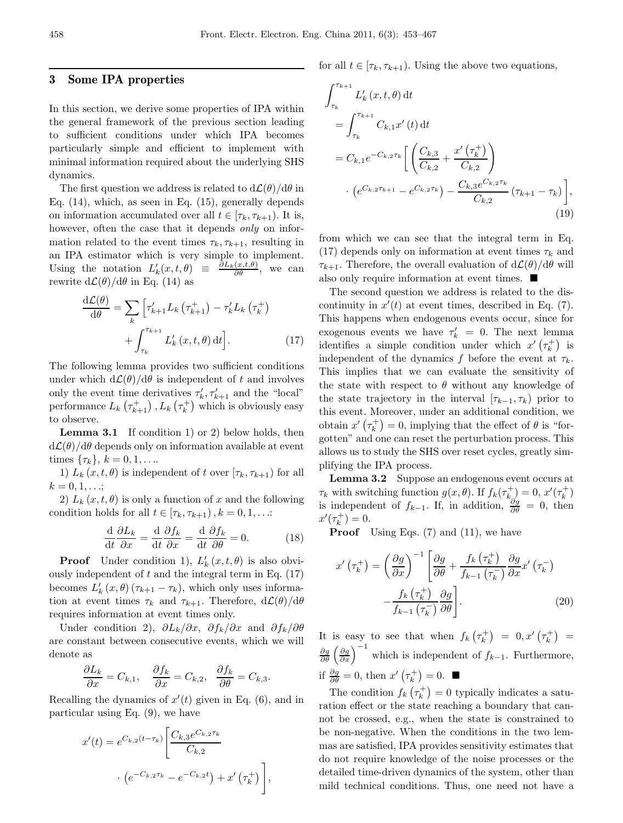## **3 Some IPA properties**

In this section, we derive some properties of IPA within the general framework of the previous section leading to sufficient conditions under which IPA becomes particularly simple and efficient to implement with minimal information required about the underlying SHS dynamics.

The first question we address is related to  $d\mathcal{L}(\theta)/d\theta$  in Eq.  $(14)$ , which, as seen in Eq.  $(15)$ , generally depends on information accumulated over all  $t \in [\tau_k, \tau_{k+1})$ . It is, however, often the case that it depends *only* on information related to the event times  $\tau_k, \tau_{k+1}$ , resulting in an IPA estimator which is very simple to implement. Using the notation  $L_1$  $\frac{d}{dx}(x, t, \theta) \equiv \frac{\partial L_k(x, t, \theta)}{\partial \theta}$ , we can rewrite  $d\mathcal{L}(\theta)/d\theta$  in Eq. (14) as

$$
\frac{\mathrm{d}\mathcal{L}(\theta)}{\mathrm{d}\theta} = \sum_{k} \left[ \tau'_{k+1} L_k \left( \tau^+_{k+1} \right) - \tau'_k L_k \left( \tau^+_k \right) \right. \\ \left. + \int_{\tau_k}^{\tau_{k+1}} L'_k \left( x, t, \theta \right) \mathrm{d}t \right]. \tag{17}
$$

The following lemma provides two sufficient conditions under which  $d\mathcal{L}(\theta)/d\theta$  is independent of t and involves only the event time derivatives  $\tau'_k, \tau'_{k+1}$  and the "local"<br>performance  $I_+(\tau^+)$ ,  $I_+(\tau^+)$  which is obviously open performance  $L_k\left(\tau_{k+1}^+\right)$ ,  $L_k\left(\tau_k^+\right)$  which is obviously easy to observe.

**Lemma 3.1** If condition 1) or 2) below holds, then  $d\mathcal{L}(\theta)/d\theta$  depends only on information available at event times  $\{\tau_k\}, k = 0, 1, \ldots$ 

1)  $L_k(x, t, \theta)$  is independent of t over  $[\tau_k, \tau_{k+1}]$  for all  $k = 0, 1, \ldots;$ 

2)  $L_k(x, t, \theta)$  is only a function of x and the following condition holds for all  $t \in [\tau_k, \tau_{k+1}), k = 0, 1, \ldots$ :

$$
\frac{\mathrm{d}}{\mathrm{d}t}\frac{\partial L_k}{\partial x} = \frac{\mathrm{d}}{\mathrm{d}t}\frac{\partial f_k}{\partial x} = \frac{\mathrm{d}}{\mathrm{d}t}\frac{\partial f_k}{\partial \theta} = 0.
$$
 (18)

**Proof** Under condition 1),  $L'_{k}(x,t,\theta)$  is also obvi-<br>sly independent of t and the integral term in Eq. (17) ously independent of  $t$  and the integral term in Eq.  $(17)$ becomes  $L'_{k}(x, \theta)$  ( $\tau_{k+1} - \tau_{k}$ ), which only uses informa-<br>tion at event times  $\tau_{k}$  and  $\tau_{k+1}$ . Therefore,  $dC(\theta)$ /de tion at event times  $\tau_k$  and  $\tau_{k+1}$ . Therefore,  $d\mathcal{L}(\theta)/d\theta$ requires information at event times only.

Under condition 2),  $\partial L_k/\partial x$ ,  $\partial f_k/\partial x$  and  $\partial f_k/\partial \theta$ are constant between consecutive events, which we will denote as

$$
\frac{\partial L_k}{\partial x} = C_{k,1}, \quad \frac{\partial f_k}{\partial x} = C_{k,2}, \quad \frac{\partial f_k}{\partial \theta} = C_{k,3}.
$$

Recalling the dynamics of  $x'(t)$  given in Eq. (6), and in particular using Eq. (9), we have

$$
x'(t) = e^{C_{k,2}(t-\tau_k)} \left[ \frac{C_{k,3}e^{C_{k,2}\tau_k}}{C_{k,2}} \cdot \left( e^{-C_{k,2}\tau_k} - e^{-C_{k,2}t} \right) + x'\left(\tau_k^+\right) \right],
$$

for all  $t \in [\tau_k, \tau_{k+1})$ . Using the above two equations,

$$
\int_{\tau_k}^{\tau_{k+1}} L'_k(x, t, \theta) dt
$$
\n
$$
= \int_{\tau_k}^{\tau_{k+1}} C_{k,1} x'(t) dt
$$
\n
$$
= C_{k,1} e^{-C_{k,2} \tau_k} \left[ \left( \frac{C_{k,3}}{C_{k,2}} + \frac{x'(\tau_k^+)}{C_{k,2}} \right) \right]
$$
\n
$$
\cdot \left( e^{C_{k,2} \tau_{k+1}} - e^{C_{k,2} \tau_k} \right) - \frac{C_{k,3} e^{C_{k,2} \tau_k}}{C_{k,2}} \left( \tau_{k+1} - \tau_k \right) \right],
$$
\n(19)

from which we can see that the integral term in Eq. (17) depends only on information at event times  $\tau_k$  and  $\tau_{k+1}$ . Therefore, the overall evaluation of  $d\mathcal{L}(\theta)/d\theta$  will also only require information at event times.

The second question we address is related to the discontinuity in  $x'(t)$  at event times, described in Eq. (7). This happens when endogenous events occur, since for exogenous events we have  $\tau'_{k} = 0$ . The next lemma<br>identifies a simple condition under which  $x'(\tau^{+})$  is identifies a simple condition under which  $x'(\tau_k^+)$  is independent of the dynamics f before the event at  $\tau_k$ .<br>This invalids that we are evaluated the eventuring of This implies that we can evaluate the sensitivity of the state with respect to  $\theta$  without any knowledge of the state trajectory in the interval  $[\tau_{k-1}, \tau_k)$  prior to this event. Moreover, under an additional condition, we obtain  $x'(\tau_k^+) = 0$ , implying that the effect of  $\theta$  is "fork gotten" and one can reset the perturbation process. This allows us to study the SHS over reset cycles, greatly simplifying the IPA process.

**Lemma 3.2** Suppose an endogenous event occurs at  $\tau_k$  with switching function  $g(x, \theta)$ . If  $f_k(\tau_k^+) = 0$ ,  $x'(\tau_k^+)$ <br>is independent of  $f_k$ . If in addition  $\frac{\partial g}{\partial x} = 0$ , then is independent of  $f_{k-1}$ . If, in addition,  $\frac{\partial g}{\partial \theta} = 0$ , then  $x'(\tau^+) = 0$  $x'(\tau_k^+) = 0.$ 

**Proof** Using Eqs. (7) and (11), we have

$$
x'\left(\tau_k^+\right) = \left(\frac{\partial g}{\partial x}\right)^{-1} \left[\frac{\partial g}{\partial \theta} + \frac{f_k\left(\tau_k^+\right)}{f_{k-1}\left(\tau_k^-\right)} \frac{\partial g}{\partial x} x'\left(\tau_k^-\right) - \frac{f_k\left(\tau_k^+\right)}{f_{k-1}\left(\tau_k^-\right)} \frac{\partial g}{\partial \theta}\right].
$$
\n(20)

It is easy to see that when  $f_k(\tau_k^+) = 0, x'(\tau_k^+) =$  $\frac{\partial g}{\partial \theta} \left( \frac{\partial g}{\partial x} \right)^{-1}$  which is independent of  $f_{k-1}$ . Furthermore, if  $\frac{\partial g}{\partial \theta} = 0$ , then  $x'(\tau_k^+) = 0$ .

The condition  $f_k(\tau_k^+) = 0$  typically indicates a saturation effect or the state reaching a boundary that cannot be crossed, e.g., when the state is constrained to be non-negative. When the conditions in the two lemmas are satisfied, IPA provides sensitivity estimates that do not require knowledge of the noise processes or the detailed time-driven dynamics of the system, other than mild technical conditions. Thus, one need not have a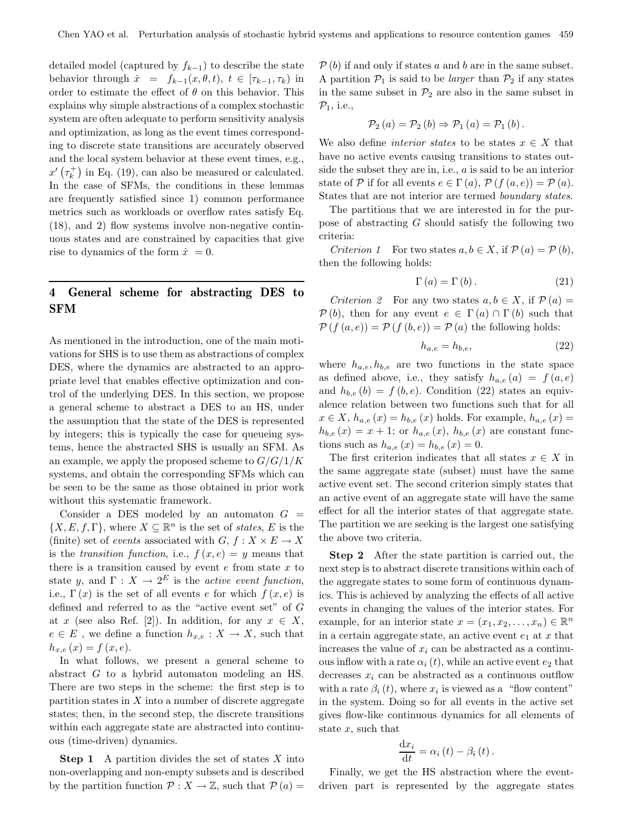detailed model (captured by  $f_{k-1}$ ) to describe the state behavior through  $\dot{x} = f_{k-1}(x, \theta, t), t \in [\tau_{k-1}, \tau_k)$  in order to estimate the effect of  $\theta$  on this behavior. This explains why simple abstractions of a complex stochastic system are often adequate to perform sensitivity analysis and optimization, as long as the event times corresponding to discrete state transitions are accurately observed and the local system behavior at these event times, e.g.,  $x'(\tau_k^+)$  in Eq. (19), can also be measured or calculated. k In the case of SFMs, the conditions in these lemmas are frequently satisfied since 1) common performance metrics such as workloads or overflow rates satisfy Eq. (18), and 2) flow systems involve non-negative continuous states and are constrained by capacities that give rise to dynamics of the form  $\dot{x} = 0$ .

# **4 General scheme for abstracting DES to SFM**

As mentioned in the introduction, one of the main motivations for SHS is to use them as abstractions of complex DES, where the dynamics are abstracted to an appropriate level that enables effective optimization and control of the underlying DES. In this section, we propose a general scheme to abstract a DES to an HS, under the assumption that the state of the DES is represented by integers; this is typically the case for queueing systems, hence the abstracted SHS is usually an SFM. As an example, we apply the proposed scheme to  $G/G/1/K$ systems, and obtain the corresponding SFMs which can be seen to be the same as those obtained in prior work without this systematic framework.

Consider a DES modeled by an automaton  $G =$  $\{X, E, f, \Gamma\}$ , where  $X \subseteq \mathbb{R}^n$  is the set of *states*, E is the (finite) set of *events* associated with  $G, f: X \times E \to X$ is the *transition function*, i.e.,  $f(x, e) = y$  means that there is a transition caused by event  $e$  from state  $x$  to state y, and  $\Gamma: X \to 2^E$  is the *active event function*, i.e.,  $\Gamma(x)$  is the set of all events e for which  $f(x, e)$  is defined and referred to as the "active event set" of G at x (see also Ref. [2]). In addition, for any  $x \in X$ ,  $e \in E$ , we define a function  $h_{x,e}: X \to X$ , such that  $h_{x,e}(x) = f(x,e).$ 

In what follows, we present a general scheme to abstract  $G$  to a hybrid automaton modeling an HS. There are two steps in the scheme: the first step is to partition states in  $X$  into a number of discrete aggregate states; then, in the second step, the discrete transitions within each aggregate state are abstracted into continuous (time-driven) dynamics.

**Step 1** A partition divides the set of states  $X$  into non-overlapping and non-empty subsets and is described by the partition function  $\mathcal{P}: X \to \mathbb{Z}$ , such that  $\mathcal{P}(a) =$ 

 $\mathcal{P}(b)$  if and only if states a and b are in the same subset. A partition  $P_1$  is said to be *larger* than  $P_2$  if any states in the same subset in  $\mathcal{P}_2$  are also in the same subset in  $\mathcal{P}_1$ , i.e.,

$$
\mathcal{P}_2(a) = \mathcal{P}_2(b) \Rightarrow \mathcal{P}_1(a) = \mathcal{P}_1(b).
$$

We also define *interior states* to be states  $x \in X$  that have no active events causing transitions to states outside the subset they are in, i.e., a is said to be an interior state of P if for all events  $e \in \Gamma(a)$ ,  $\mathcal{P}(f(a, e)) = \mathcal{P}(a)$ . States that are not interior are termed *boundary states*.

The partitions that we are interested in for the purpose of abstracting  $G$  should satisfy the following two criteria:

*Criterion 1* For two states  $a, b \in X$ , if  $\mathcal{P}(a) = \mathcal{P}(b)$ , then the following holds:

$$
\Gamma(a) = \Gamma(b). \tag{21}
$$

*Criterion 2* For any two states  $a, b \in X$ , if  $\mathcal{P}(a) =$  $\mathcal{P}(b)$ , then for any event  $e \in \Gamma(a) \cap \Gamma(b)$  such that  $\mathcal{P}(f(a, e)) = \mathcal{P}(f(b, e)) = \mathcal{P}(a)$  the following holds:

$$
h_{a,e} = h_{b,e},\tag{22}
$$

where  $h_{a,e}, h_{b,e}$  are two functions in the state space as defined above, i.e., they satisfy  $h_{a,e}(a) = f(a,e)$ and  $h_{b,e}(b) = f(b,e)$ . Condition (22) states an equivalence relation between two functions such that for all  $x \in X$ ,  $h_{a,e}(x) = h_{b,e}(x)$  holds. For example,  $h_{a,e}(x) =$  $h_{b,e}(x) = x + 1$ ; or  $h_{a,e}(x)$ ,  $h_{b,e}(x)$  are constant functions such as  $h_{a,e}(x) = h_{b,e}(x) = 0.$ 

The first criterion indicates that all states  $x \in X$  in the same aggregate state (subset) must have the same active event set. The second criterion simply states that an active event of an aggregate state will have the same effect for all the interior states of that aggregate state. The partition we are seeking is the largest one satisfying the above two criteria.

**Step 2** After the state partition is carried out, the next step is to abstract discrete transitions within each of the aggregate states to some form of continuous dynamics. This is achieved by analyzing the effects of all active events in changing the values of the interior states. For example, for an interior state  $x = (x_1, x_2, \ldots, x_n) \in \mathbb{R}^n$ in a certain aggregate state, an active event  $e_1$  at x that increases the value of  $x_i$  can be abstracted as a continuous inflow with a rate  $\alpha_i(t)$ , while an active event  $e_2$  that decreases  $x_i$  can be abstracted as a continuous outflow with a rate  $\beta_i(t)$ , where  $x_i$  is viewed as a "flow content" in the system. Doing so for all events in the active set gives flow-like continuous dynamics for all elements of state  $x$ , such that

$$
\frac{\mathrm{d}x_{i}}{\mathrm{d}t}=\alpha_{i}\left(t\right)-\beta_{i}\left(t\right).
$$

Finally, we get the HS abstraction where the eventdriven part is represented by the aggregate states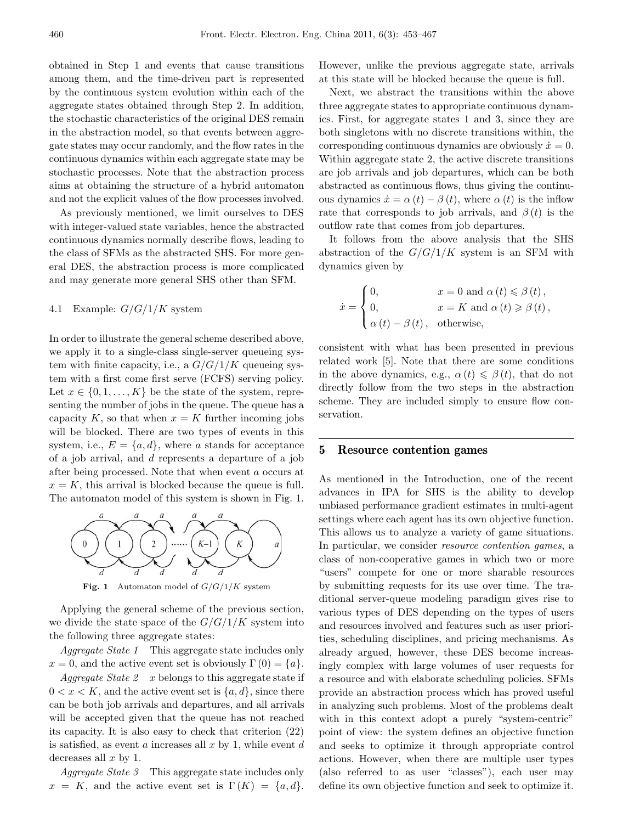obtained in Step 1 and events that cause transitions among them, and the time-driven part is represented by the continuous system evolution within each of the aggregate states obtained through Step 2. In addition, the stochastic characteristics of the original DES remain in the abstraction model, so that events between aggregate states may occur randomly, and the flow rates in the continuous dynamics within each aggregate state may be stochastic processes. Note that the abstraction process aims at obtaining the structure of a hybrid automaton and not the explicit values of the flow processes involved.

As previously mentioned, we limit ourselves to DES with integer-valued state variables, hence the abstracted continuous dynamics normally describe flows, leading to the class of SFMs as the abstracted SHS. For more general DES, the abstraction process is more complicated and may generate more general SHS other than SFM.

#### 4.1 Example:  $G/G/1/K$  system

In order to illustrate the general scheme described above, we apply it to a single-class single-server queueing system with finite capacity, i.e., a  $G/G/1/K$  queueing system with a first come first serve (FCFS) serving policy. Let  $x \in \{0, 1, \ldots, K\}$  be the state of the system, representing the number of jobs in the queue. The queue has a capacity K, so that when  $x = K$  further incoming jobs will be blocked. There are two types of events in this system, i.e.,  $E = \{a, d\}$ , where a stands for acceptance of a job arrival, and d represents a departure of a job after being processed. Note that when event a occurs at  $x = K$ , this arrival is blocked because the queue is full. The automaton model of this system is shown in Fig. 1.



**Fig. 1** Automaton model of *G/G/*1*/K* system

Applying the general scheme of the previous section, we divide the state space of the  $G/G/1/K$  system into the following three aggregate states:

*Aggregate State 1* This aggregate state includes only  $x = 0$ , and the active event set is obviously  $\Gamma(0) = \{a\}.$ 

*Aggregate State 2 x* belongs to this aggregate state if  $0 < x < K$ , and the active event set is  $\{a, d\}$ , since there can be both job arrivals and departures, and all arrivals will be accepted given that the queue has not reached its capacity. It is also easy to check that criterion (22) is satisfied, as event a increases all  $x$  by 1, while event  $d$ decreases all  $x$  by 1.

*Aggregate State 3* This aggregate state includes only  $x = K$ , and the active event set is  $\Gamma(K) = \{a, d\}.$ 

However, unlike the previous aggregate state, arrivals at this state will be blocked because the queue is full.

Next, we abstract the transitions within the above three aggregate states to appropriate continuous dynamics. First, for aggregate states 1 and 3, since they are both singletons with no discrete transitions within, the corresponding continuous dynamics are obviously  $\dot{x} = 0$ . Within aggregate state 2, the active discrete transitions are job arrivals and job departures, which can be both abstracted as continuous flows, thus giving the continuous dynamics  $\dot{x} = \alpha(t) - \beta(t)$ , where  $\alpha(t)$  is the inflow rate that corresponds to job arrivals, and  $\beta(t)$  is the outflow rate that comes from job departures.

It follows from the above analysis that the SHS abstraction of the  $G/G/1/K$  system is an SFM with dynamics given by

$$
\dot{x} = \begin{cases} 0, & x = 0 \text{ and } \alpha(t) \leq \beta(t), \\ 0, & x = K \text{ and } \alpha(t) \geq \beta(t), \\ \alpha(t) - \beta(t), & \text{otherwise}, \end{cases}
$$

consistent with what has been presented in previous related work [5]. Note that there are some conditions in the above dynamics, e.g.,  $\alpha(t) \leq \beta(t)$ , that do not directly follow from the two steps in the abstraction scheme. They are included simply to ensure flow conservation.

## **5 Resource contention games**

As mentioned in the Introduction, one of the recent advances in IPA for SHS is the ability to develop unbiased performance gradient estimates in multi-agent settings where each agent has its own objective function. This allows us to analyze a variety of game situations. In particular, we consider *resource contention games*, a class of non-cooperative games in which two or more "users" compete for one or more sharable resources by submitting requests for its use over time. The traditional server-queue modeling paradigm gives rise to various types of DES depending on the types of users and resources involved and features such as user priorities, scheduling disciplines, and pricing mechanisms. As already argued, however, these DES become increasingly complex with large volumes of user requests for a resource and with elaborate scheduling policies. SFMs provide an abstraction process which has proved useful in analyzing such problems. Most of the problems dealt with in this context adopt a purely "system-centric" point of view: the system defines an objective function and seeks to optimize it through appropriate control actions. However, when there are multiple user types (also referred to as user "classes"), each user may define its own objective function and seek to optimize it.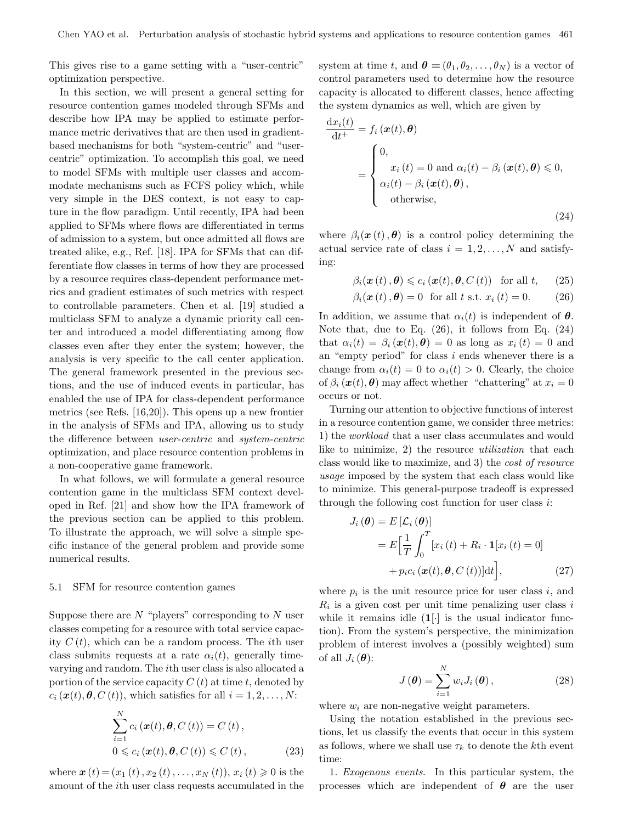This gives rise to a game setting with a "user-centric" optimization perspective.

In this section, we will present a general setting for resource contention games modeled through SFMs and describe how IPA may be applied to estimate performance metric derivatives that are then used in gradientbased mechanisms for both "system-centric" and "usercentric" optimization. To accomplish this goal, we need to model SFMs with multiple user classes and accommodate mechanisms such as FCFS policy which, while very simple in the DES context, is not easy to capture in the flow paradigm. Until recently, IPA had been applied to SFMs where flows are differentiated in terms of admission to a system, but once admitted all flows are treated alike, e.g., Ref. [18]. IPA for SFMs that can differentiate flow classes in terms of how they are processed by a resource requires class-dependent performance metrics and gradient estimates of such metrics with respect to controllable parameters. Chen et al. [19] studied a multiclass SFM to analyze a dynamic priority call center and introduced a model differentiating among flow classes even after they enter the system; however, the analysis is very specific to the call center application. The general framework presented in the previous sections, and the use of induced events in particular, has enabled the use of IPA for class-dependent performance metrics (see Refs. [16,20]). This opens up a new frontier in the analysis of SFMs and IPA, allowing us to study the difference between *user-centric* and *system-centric* optimization, and place resource contention problems in a non-cooperative game framework.

In what follows, we will formulate a general resource contention game in the multiclass SFM context developed in Ref. [21] and show how the IPA framework of the previous section can be applied to this problem. To illustrate the approach, we will solve a simple specific instance of the general problem and provide some numerical results.

#### 5.1 SFM for resource contention games

Suppose there are  $N$  "players" corresponding to  $N$  user classes competing for a resource with total service capacity  $C(t)$ , which can be a random process. The *i*th user class submits requests at a rate  $\alpha_i(t)$ , generally timevarying and random. The ith user class is also allocated a portion of the service capacity  $C(t)$  at time t, denoted by  $c_i(\mathbf{x}(t), \boldsymbol{\theta}, C(t))$ , which satisfies for all  $i = 1, 2, \ldots, N$ :

$$
\sum_{i=1}^{N} c_i (\boldsymbol{x}(t), \boldsymbol{\theta}, C(t)) = C(t),
$$
  

$$
0 \leq c_i (\boldsymbol{x}(t), \boldsymbol{\theta}, C(t)) \leq C(t),
$$
 (23)

where  $\mathbf{x}(t) = (x_1 (t), x_2 (t), \ldots, x_N (t)), x_i (t) \geq 0$  is the amount of the ith user class requests accumulated in the

system at time t, and  $\boldsymbol{\theta} = (\theta_1, \theta_2, \dots, \theta_N)$  is a vector of control parameters used to determine how the resource capacity is allocated to different classes, hence affecting the system dynamics as well, which are given by

$$
\frac{dx_i(t)}{dt^+} = f_i(\boldsymbol{x}(t), \boldsymbol{\theta})
$$
\n
$$
= \begin{cases}\n0, & \text{if } x_i(t) = 0 \text{ and } \alpha_i(t) - \beta_i(\boldsymbol{x}(t), \boldsymbol{\theta}) \le 0, \\
\alpha_i(t) - \beta_i(\boldsymbol{x}(t), \boldsymbol{\theta}), & \text{otherwise,} \n\end{cases}
$$
\n(24)

where  $\beta_i(\mathbf{x}(t), \boldsymbol{\theta})$  is a control policy determining the actual service rate of class  $i = 1, 2, ..., N$  and satisfying:

$$
\beta_i(\boldsymbol{x}(t), \boldsymbol{\theta}) \leq c_i(\boldsymbol{x}(t), \boldsymbol{\theta}, C(t)) \quad \text{for all } t, \qquad (25)
$$

$$
\beta_i(\boldsymbol{x}(t), \boldsymbol{\theta}) = 0 \text{ for all } t \text{ s.t. } x_i(t) = 0. \tag{26}
$$

In addition, we assume that  $\alpha_i(t)$  is independent of  $\theta$ . Note that, due to Eq. (26), it follows from Eq. (24) that  $\alpha_i(t) = \beta_i(\boldsymbol{x}(t), \boldsymbol{\theta}) = 0$  as long as  $x_i(t) = 0$  and an "empty period" for class  $i$  ends whenever there is a change from  $\alpha_i(t) = 0$  to  $\alpha_i(t) > 0$ . Clearly, the choice of  $\beta_i(\mathbf{x}(t), \boldsymbol{\theta})$  may affect whether "chattering" at  $x_i = 0$ occurs or not.

Turning our attention to objective functions of interest in a resource contention game, we consider three metrics: 1) the *workload* that a user class accumulates and would like to minimize, 2) the resource *utilization* that each class would like to maximize, and 3) the *cost of resource usage* imposed by the system that each class would like to minimize. This general-purpose tradeoff is expressed through the following cost function for user class  $i$ :

$$
J_i(\boldsymbol{\theta}) = E\left[\mathcal{L}_i(\boldsymbol{\theta})\right]
$$
  
= 
$$
E\left[\frac{1}{T}\int_0^T [x_i(t) + R_i \cdot \mathbf{1}[x_i(t) = 0] + p_i c_i (\boldsymbol{x}(t), \boldsymbol{\theta}, C(t))]dt\right],
$$
 (27)

where  $p_i$  is the unit resource price for user class i, and  $R_i$  is a given cost per unit time penalizing user class i while it remains idle  $(1)^{\cdot}$  is the usual indicator function). From the system's perspective, the minimization problem of interest involves a (possibly weighted) sum of all  $J_i(\boldsymbol{\theta})$ :

$$
J(\boldsymbol{\theta}) = \sum_{i=1}^{N} w_i J_i(\boldsymbol{\theta}), \qquad (28)
$$

where  $w_i$  are non-negative weight parameters.

Using the notation established in the previous sections, let us classify the events that occur in this system as follows, where we shall use  $\tau_k$  to denote the kth event time:

1. *Exogenous events*. In this particular system, the processes which are independent of  $\theta$  are the user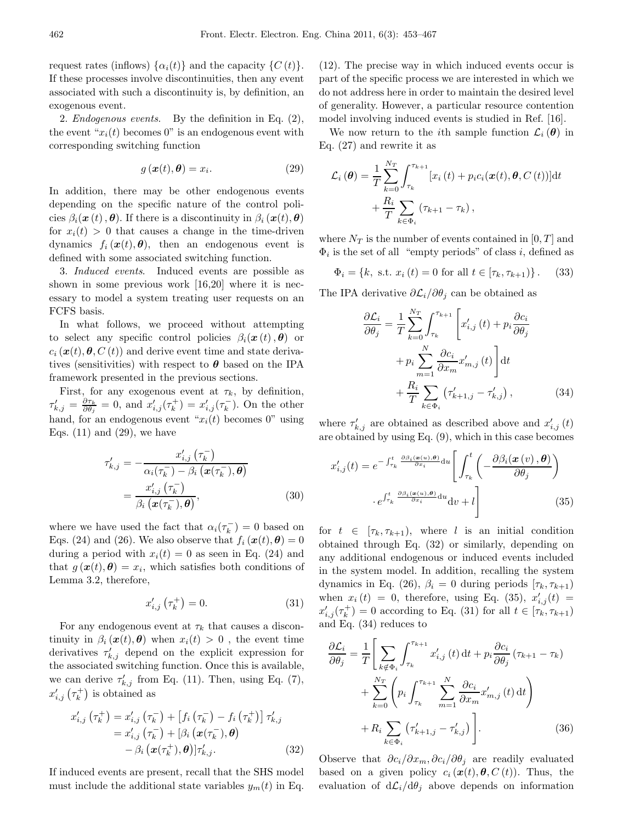request rates (inflows)  $\{\alpha_i(t)\}\$ and the capacity  $\{C(t)\}\$ . If these processes involve discontinuities, then any event associated with such a discontinuity is, by definition, an exogenous event.

2. *Endogenous events*. By the definition in Eq. (2), the event " $x_i(t)$  becomes 0" is an endogenous event with corresponding switching function

$$
g\left(\boldsymbol{x}(t),\boldsymbol{\theta}\right)=x_i.
$$
 (29)

In addition, there may be other endogenous events depending on the specific nature of the control policies  $\beta_i(\mathbf{x}(t), \boldsymbol{\theta})$ . If there is a discontinuity in  $\beta_i(\mathbf{x}(t), \boldsymbol{\theta})$ for  $x_i(t) > 0$  that causes a change in the time-driven dynamics  $f_i(\mathbf{x}(t), \boldsymbol{\theta})$ , then an endogenous event is defined with some associated switching function.

3. *Induced events*. Induced events are possible as shown in some previous work [16,20] where it is necessary to model a system treating user requests on an FCFS basis.

In what follows, we proceed without attempting to select any specific control policies  $\beta_i(\mathbf{x}(t), \boldsymbol{\theta})$  or  $c_i(\mathbf{x}(t), \boldsymbol{\theta}, C(t))$  and derive event time and state derivatives (sensitivities) with respect to  $\theta$  based on the IPA framework presented in the previous sections.

First, for any exogenous event at  $\tau_k$ , by definition,  $\tau'_{k,j} = \frac{\partial \tau_k}{\partial \theta_j} = 0$ , and  $x'_{i,j}(\tau_k^+) = x'_{i,j}(\tau_k^-)$ . On the other hand, for an endogenous event " $x_i(t)$  becomes 0" using Eqs.  $(11)$  and  $(29)$ , we have

$$
\tau'_{k,j} = -\frac{x'_{i,j}(\tau_k^-)}{\alpha_i(\tau_k^-) - \beta_i(\boldsymbol{x}(\tau_k^-), \boldsymbol{\theta})}
$$

$$
= \frac{x'_{i,j}(\tau_k^-)}{\beta_i(\boldsymbol{x}(\tau_k^-), \boldsymbol{\theta})},
$$
(30)

where we have used the fact that  $\alpha_i(\tau_k^-) = 0$  based on<br>Eqs. (24) and (26) We also observe that  $f_i(\mathbf{z}(t), \mathbf{A}) = 0$ Eqs. (24) and (26). We also observe that  $f_i(\boldsymbol{x}(t), \boldsymbol{\theta}) = 0$ during a period with  $x_i(t) = 0$  as seen in Eq. (24) and that  $g(\mathbf{x}(t), \boldsymbol{\theta}) = x_i$ , which satisfies both conditions of Lemma 3.2, therefore,

$$
x'_{i,j}\left(\tau_k^+\right) = 0.\tag{31}
$$

For any endogenous event at  $\tau_k$  that causes a discontinuity in  $\beta_i(x(t), \theta)$  when  $x_i(t) > 0$ , the event time derivatives  $\tau'_{k,j}$  depend on the explicit expression for<br>the expectated exitation function. Once this is explained the associated switching function. Once this is available, we can derive  $\tau'_{k,j}$  from Eq. (11). Then, using Eq. (7),  $x'_{i,j}(\tau_k^+)$  is obtained as

$$
x'_{i,j}(\tau_k^+) = x'_{i,j}(\tau_k^-) + [f_i(\tau_k^-) - f_i(\tau_k^+)] \tau'_{k,j}
$$
  
=  $x'_{i,j}(\tau_k^-) + [\beta_i(\mathbf{x}(\tau_k^-), \boldsymbol{\theta})$   
 $-\beta_i(\mathbf{x}(\tau_k^+), \boldsymbol{\theta})] \tau'_{k,j}.$  (32)

If induced events are present, recall that the SHS model must include the additional state variables  $y_m(t)$  in Eq.

(12). The precise way in which induced events occur is part of the specific process we are interested in which we do not address here in order to maintain the desired level of generality. However, a particular resource contention model involving induced events is studied in Ref. [16].

We now return to the *i*th sample function  $\mathcal{L}_i(\boldsymbol{\theta})$  in Eq. (27) and rewrite it as

$$
\mathcal{L}_{i}(\boldsymbol{\theta}) = \frac{1}{T} \sum_{k=0}^{N_T} \int_{\tau_k}^{\tau_{k+1}} [x_i(t) + p_i c_i(\boldsymbol{x}(t), \boldsymbol{\theta}, C(t))] dt + \frac{R_i}{T} \sum_{k \in \Phi_i} (\tau_{k+1} - \tau_k),
$$

where  $N_T$  is the number of events contained in [0, T] and  $\Phi_i$  is the set of all "empty periods" of class i, defined as

 $\Phi_i = \{k, \text{ s.t. } x_i(t) = 0 \text{ for all } t \in [\tau_k, \tau_{k+1})\}\.$  (33)

The IPA derivative  $\partial \mathcal{L}_i/\partial \theta_j$  can be obtained as

$$
\frac{\partial \mathcal{L}_i}{\partial \theta_j} = \frac{1}{T} \sum_{k=0}^{N_T} \int_{\tau_k}^{\tau_{k+1}} \left[ x'_{i,j}(t) + p_i \frac{\partial c_i}{\partial \theta_j} + p_i \sum_{m=1}^{N} \frac{\partial c_i}{\partial x_m} x'_{m,j}(t) \right] dt + \frac{R_i}{T} \sum_{k \in \Phi_i} \left( \tau'_{k+1,j} - \tau'_{k,j} \right), \tag{34}
$$

where  $\tau'_{k,j}$  are obtained as described above and  $x'_{i,j}(t)$ <br>are obtained by using Eq. (0), which in this case becomes are obtained by using Eq. (9), which in this case becomes

$$
x'_{i,j}(t) = e^{-\int_{\tau_k}^t \frac{\partial \beta_i(\mathbf{x}(u), \theta)}{\partial x_i} du} \left[ \int_{\tau_k}^t \left( -\frac{\partial \beta_i(\mathbf{x}(v), \theta)}{\partial \theta_j} \right) \right]
$$

$$
+ e^{\int_{\tau_k}^t \frac{\partial \beta_i(\mathbf{x}(u), \theta)}{\partial x_i} du} dv + l \right]
$$
(35)

for  $t \in [\tau_k, \tau_{k+1}),$  where l is an initial condition obtained through Eq. (32) or similarly, depending on any additional endogenous or induced events included in the system model. In addition, recalling the system dynamics in Eq. (26),  $\beta_i = 0$  during periods  $[\tau_k, \tau_{k+1}]$ when  $x_i(t) = 0$ , therefore, using Eq. (35),  $x'_{i,j}(t) = x'_{i,j}(\tau^+) = 0$  associating to Eq. (21) for all  $t \in [\tau, \tau]$  $x'_{i,j}(\tau_k^+) = 0$  according to Eq. (31) for all  $t \in [\tau_k, \tau_{k+1}]$ and Eq. (34) reduces to

$$
\frac{\partial \mathcal{L}_i}{\partial \theta_j} = \frac{1}{T} \left[ \sum_{k \notin \Phi_i} \int_{\tau_k}^{\tau_{k+1}} x'_{i,j}(t) dt + p_i \frac{\partial c_i}{\partial \theta_j} (\tau_{k+1} - \tau_k) + \sum_{k=0}^{N_T} \left( p_i \int_{\tau_k}^{\tau_{k+1}} \sum_{m=1}^N \frac{\partial c_i}{\partial x_m} x'_{m,j}(t) dt \right) + R_i \sum_{k \in \Phi_i} (\tau'_{k+1,j} - \tau'_{k,j}) \right].
$$
\n(36)

Observe that  $\partial c_i/\partial x_m, \partial c_i/\partial \theta_j$  are readily evaluated based on a given policy  $c_i(\mathbf{x}(t), \boldsymbol{\theta}, C(t))$ . Thus, the evaluation of  $d\mathcal{L}_i/d\theta_i$  above depends on information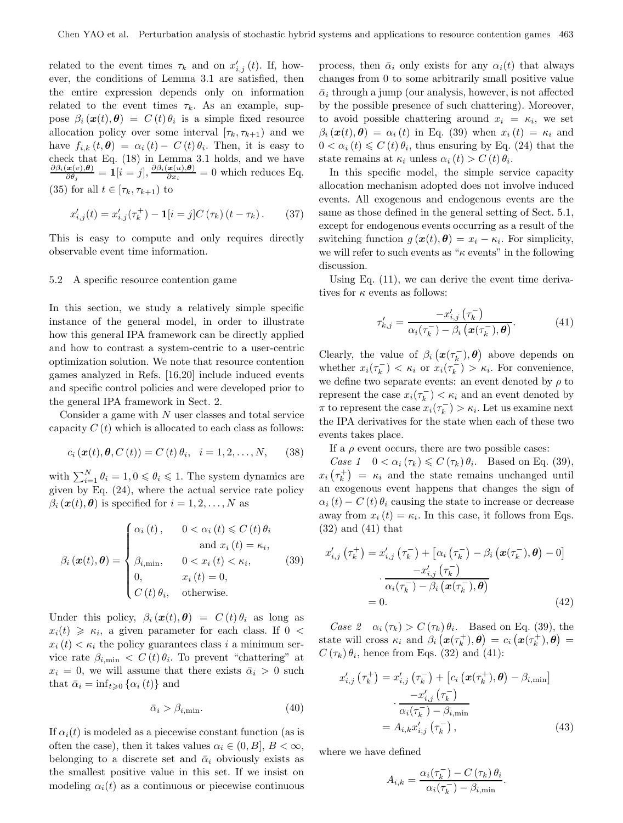related to the event times  $\tau_k$  and on  $x'_{i,j}(t)$ . If, how-<br>ever the conditions of Lemma 3.1 are estimated than ever, the conditions of Lemma 3.1 are satisfied, then the entire expression depends only on information related to the event times  $\tau_k$ . As an example, suppose  $\beta_i(\mathbf{x}(t), \boldsymbol{\theta}) = C(t) \theta_i$  is a simple fixed resource allocation policy over some interval  $[\tau_k, \tau_{k+1}]$  and we have  $f_{i,k}(t, \theta) = \alpha_i(t) - C(t) \theta_i$ . Then, it is easy to check that Eq. (18) in Lemma 3.1 holds, and we have  $\frac{\partial \beta_i(\mathbf{x}(v), \theta)}{\partial \theta_j} = \mathbf{1}[i = j], \frac{\partial \beta_i(\mathbf{x}(u), \theta)}{\partial x_i} = 0$  which reduces Eq. (35) for all  $t \in [\tau_k, \tau_{k+1}]$  to

$$
x'_{i,j}(t) = x'_{i,j}(\tau_k^+) - \mathbf{1}[i = j]C(\tau_k)(t - \tau_k). \tag{37}
$$

This is easy to compute and only requires directly observable event time information.

#### 5.2 A specific resource contention game

In this section, we study a relatively simple specific instance of the general model, in order to illustrate how this general IPA framework can be directly applied and how to contrast a system-centric to a user-centric optimization solution. We note that resource contention games analyzed in Refs. [16,20] include induced events and specific control policies and were developed prior to the general IPA framework in Sect. 2.

Consider a game with  $N$  user classes and total service capacity  $C(t)$  which is allocated to each class as follows:

$$
c_i(\boldsymbol{x}(t),\boldsymbol{\theta},C(t))=C(t)\theta_i, \quad i=1,2,\ldots,N,\qquad(38)
$$

with  $\sum_{i=1}^{N} \theta_i = 1, 0 \le \theta_i \le 1$ . The system dynamics are<br>given by Eq. (24), where the actual service rate policy given by Eq. (24), where the actual service rate policy  $\beta_i(\boldsymbol{x}(t), \boldsymbol{\theta})$  is specified for  $i = 1, 2, ..., N$  as

$$
\beta_i(\boldsymbol{x}(t), \boldsymbol{\theta}) = \begin{cases} \alpha_i(t), & 0 < \alpha_i(t) \leq C(t) \theta_i \\ \text{and } x_i(t) = \kappa_i, \\ \beta_{i, \min}, & 0 < x_i(t) < \kappa_i, \\ 0, & x_i(t) = 0, \\ C(t) \theta_i, & \text{otherwise.} \end{cases}
$$
(39)

Under this policy,  $\beta_i(x(t), \theta) = C(t) \theta_i$  as long as  $x_i(t) \geq \kappa_i$ , a given parameter for each class. If  $0 <$  $x_i(t) < \kappa_i$  the policy guarantees class i a minimum service rate  $\beta_{i,\min} < C(t) \theta_i$ . To prevent "chattering" at  $x_i = 0$ , we will assume that there exists  $\bar{\alpha}_i > 0$  such that  $\bar{\alpha}_i = \inf_{t \geq 0} {\alpha_i(t)}$  and

$$
\bar{\alpha}_i > \beta_{i,\min}.\tag{40}
$$

If  $\alpha_i(t)$  is modeled as a piecewise constant function (as is often the case), then it takes values  $\alpha_i \in (0, B], B < \infty$ , belonging to a discrete set and  $\bar{\alpha}_i$  obviously exists as the smallest positive value in this set. If we insist on modeling  $\alpha_i(t)$  as a continuous or piecewise continuous

process, then  $\bar{\alpha}_i$  only exists for any  $\alpha_i(t)$  that always changes from 0 to some arbitrarily small positive value  $\bar{\alpha}_i$  through a jump (our analysis, however, is not affected by the possible presence of such chattering). Moreover, to avoid possible chattering around  $x_i = \kappa_i$ , we set  $\beta_i(\mathbf{x}(t), \boldsymbol{\theta}) = \alpha_i(t)$  in Eq. (39) when  $x_i(t) = \kappa_i$  and  $0 < \alpha_i(t) \leq C(t) \theta_i$ , thus ensuring by Eq. (24) that the state remains at  $\kappa_i$  unless  $\alpha_i(t) > C(t) \theta_i$ .

In this specific model, the simple service capacity allocation mechanism adopted does not involve induced events. All exogenous and endogenous events are the same as those defined in the general setting of Sect. 5.1, except for endogenous events occurring as a result of the switching function  $g(\boldsymbol{x}(t), \boldsymbol{\theta}) = x_i - \kappa_i$ . For simplicity, we will refer to such events as " $\kappa$  events" in the following discussion.

Using Eq. (11), we can derive the event time derivatives for  $\kappa$  events as follows:

$$
\tau'_{k,j} = \frac{-x'_{i,j}(\tau_k^-)}{\alpha_i(\tau_k^-) - \beta_i(\boldsymbol{x}(\tau_k^-), \boldsymbol{\theta})}.
$$
(41)

Clearly, the value of  $\beta_i(\mathbf{x}(\tau_k^-), \boldsymbol{\theta})$  above depends on what her  $\mathbf{x}(\tau_k^-) \leq \kappa_i$  or  $\mathbf{x}(\tau_k^-) \leq \kappa_i$ . For convenience whether  $x_i(\tau_k^-) < \kappa_i$  or  $x_i(\tau_k^-) > \kappa_i$ . For convenience,<br>we define two separate events: an event denoted by a to we define two separate events: an event denoted by  $\rho$  to represent the case  $x_i(\tau_k^-) < \kappa_i$  and an event denoted by<br>π to represent the case  $x_i(\tau_i^-) > \kappa_i$ . Let us examine novt  $\pi$  to represent the case  $x_i(\tau_k^-) > \kappa_i$ . Let us examine next<br>the IPA derivatives for the state when each of these two the IPA derivatives for the state when each of these two events takes place.

If a  $\rho$  event occurs, there are two possible cases:

*Case 1*  $0 < \alpha_i(\tau_k) \leqslant C(\tau_k) \theta_i$ . Based on Eq. (39),  $x_i(\tau_k^+) = \kappa_i$  and the state remains unchanged until an exogenous event happens that changes the sign of  $\alpha_i(t) - C(t) \theta_i$  causing the state to increase or decrease away from  $x_i(t) = \kappa_i$ . In this case, it follows from Eqs. (32) and (41) that

$$
x'_{i,j}(\tau_k^+) = x'_{i,j}(\tau_k^-) + [\alpha_i(\tau_k^-) - \beta_i(\boldsymbol{x}(\tau_k^-), \boldsymbol{\theta}) - 0]
$$

$$
\cdot \frac{-x'_{i,j}(\tau_k^-)}{\alpha_i(\tau_k^-) - \beta_i(\boldsymbol{x}(\tau_k^-), \boldsymbol{\theta})}
$$

$$
= 0.
$$
(42)

*Case 2*  $\alpha_i(\tau_k) > C(\tau_k) \theta_i$ . Based on Eq. (39), the state will cross  $\kappa_i$  and  $\beta_i(\boldsymbol{x}(\tau_k^+), \boldsymbol{\theta}) = c_i(\boldsymbol{x}(\tau_k^+), \boldsymbol{\theta}) =$ <br> $C(\tau_k)$  espace from Eqs. (32) and (41).  $C(\tau_k) \theta_i$ , hence from Eqs. (32) and (41):

$$
x'_{i,j}(\tau_k^+) = x'_{i,j}(\tau_k^-) + [c_i(\boldsymbol{x}(\tau_k^+), \boldsymbol{\theta}) - \beta_{i,\min}]
$$

$$
\cdot \frac{-x'_{i,j}(\tau_k^-)}{\alpha_i(\tau_k^-) - \beta_{i,\min}}
$$

$$
= A_{i,k} x'_{i,j}(\tau_k^-), \qquad (43)
$$

where we have defined

$$
A_{i,k} = \frac{\alpha_i(\tau_k^-) - C(\tau_k) \theta_i}{\alpha_i(\tau_k^-) - \beta_{i,\min}}
$$

.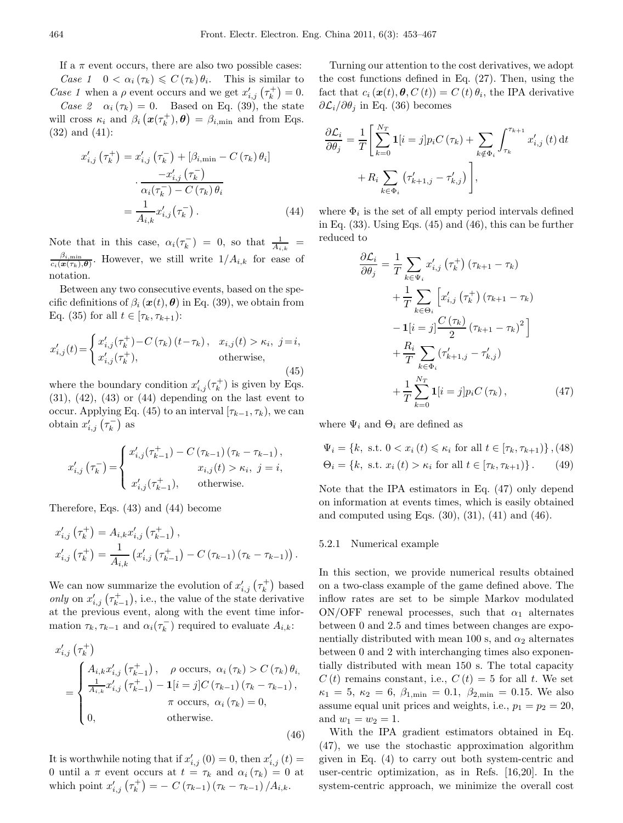If a  $\pi$  event occurs, there are also two possible cases: *Case 1*  $0 < \alpha_i(\tau_k) \leq C(\tau_k) \theta_i$ . This is similar to

Case 1 when a  $\rho$  event occurs and we get  $x'_{i,j}(\tau_k^+) = 0$ .<br>
Case  $\theta = \alpha_i(\tau_k) = 0$ . Based on Eq. (30), the state *Case 2*  $\alpha_i(\tau_k) = 0$ . Based on Eq. (39), the state will cross  $\kappa_i$  and  $\beta_i(\mathbf{x}(\tau_k^+), \boldsymbol{\theta}) = \beta_{i,\text{min}}$  and from Eqs.<br>(32) and (41). (32) and (41):

$$
x'_{i,j}(\tau_k^+) = x'_{i,j}(\tau_k^-) + [\beta_{i,\min} - C(\tau_k) \theta_i]
$$

$$
\cdot \frac{-x'_{i,j}(\tau_k^-)}{\alpha_i(\tau_k^-) - C(\tau_k) \theta_i}
$$

$$
= \frac{1}{A_{i,k}} x'_{i,j}(\tau_k^-). \tag{44}
$$

Note that in this case,  $\alpha_i(\tau_k^-) = 0$ , so that  $\frac{1}{A_{i,k}} =$  $\frac{\rho_{i,\min}}{c_i(\boldsymbol{x}(r_k),\boldsymbol{\theta})}$ . However, we still write  $1/A_{i,k}$  for ease of notation.

Between any two consecutive events, based on the specific definitions of  $\beta_i(\mathbf{x}(t), \boldsymbol{\theta})$  in Eq. (39), we obtain from Eq. (35) for all  $t \in [\tau_k, \tau_{k+1})$ :

$$
x'_{i,j}(t) = \begin{cases} x'_{i,j}(\tau_k^+) - C(\tau_k)(t - \tau_k), & x_{i,j}(t) > \kappa_i, \ j = i, \\ x'_{i,j}(\tau_k^+), & \text{otherwise,} \end{cases}
$$
(45)

where the boundary condition  $x'_{i,j}(\tau_k^+)$  is given by Eqs.<br>(31) (42) (43) or (44) dopending on the last ovent to  $(31)$ ,  $(42)$ ,  $(43)$  or  $(44)$  depending on the last event to occur. Applying Eq. (45) to an interval  $[\tau_{k-1}, \tau_k)$ , we can obtain  $x'_{i,j}(\tau_k^-)$  as

$$
x'_{i,j}(\tau_k^-) = \begin{cases} x'_{i,j}(\tau_{k-1}^+) - C(\tau_{k-1})(\tau_k - \tau_{k-1}), \\ x_{i,j}(t) > \kappa_i, \ j = i, \\ x'_{i,j}(\tau_{k-1}^+), \qquad \text{otherwise.} \end{cases}
$$

Therefore, Eqs. (43) and (44) become

$$
x'_{i,j}(\tau_k^+) = A_{i,k} x'_{i,j}(\tau_{k-1}^+),
$$
  

$$
x'_{i,j}(\tau_k^+) = \frac{1}{A_{i,k}} (x'_{i,j}(\tau_{k-1}^+) - C(\tau_{k-1})(\tau_k - \tau_{k-1})).
$$

We can now summarize the evolution of  $x'_{i,j}(\tau_k^+)$  based<br>order on  $x'_{i,j}(\tau_1^+)$  i.e., the yplus of the state derivative only on  $x'_{i,j}$   $(\tau_{k-1}^+)$ , i.e., the value of the state derivative<br>at the provisus quant, along with the quant time information at the previous event, along with the event time information  $\tau_k, \tau_{k-1}$  and  $\alpha_i(\tau_k^-)$  required to evaluate  $A_{i,k}$ :

$$
x'_{i,j}(\tau_k^+)
$$
  
= 
$$
\begin{cases} A_{i,k}x'_{i,j}(\tau_{k-1}^+) , & \rho \text{ occurs, } \alpha_i(\tau_k) > C(\tau_k) \theta_i, \\ \frac{1}{A_{i,k}} x'_{i,j}(\tau_{k-1}^+) - \mathbf{1}[i=j] C(\tau_{k-1})(\tau_k - \tau_{k-1}), \\ \pi \text{ occurs, } \alpha_i(\tau_k) = 0, \\ 0, & \text{otherwise.} \end{cases}
$$
(46)

It is worthwhile noting that if  $x'_{i,j}(0) = 0$ , then  $x'_{i,j}(t) = 0$ <br>while  $\tau$  such assume at  $t = \tau$  and  $\alpha_i(\tau) = 0$  at 0 until a  $\pi$  event occurs at  $t = \tau_k$  and  $\alpha_i(\tau_k) = 0$  at which point  $x'_{i,j}(\tau_k^+$  $= - C (\tau_{k-1}) (\tau_k - \tau_{k-1})/A_{i,k}.$ 

Turning our attention to the cost derivatives, we adopt the cost functions defined in Eq. (27). Then, using the fact that  $c_i (\mathbf{x}(t), \boldsymbol{\theta}, C(t)) = C(t) \theta_i$ , the IPA derivative  $\partial \mathcal{L}_i/\partial \theta_i$  in Eq. (36) becomes

$$
\frac{\partial \mathcal{L}_i}{\partial \theta_j} = \frac{1}{T} \left[ \sum_{k=0}^{N_T} \mathbf{1}[i=j] p_i C(\tau_k) + \sum_{k \notin \Phi_i} \int_{\tau_k}^{\tau_{k+1}} x'_{i,j}(t) dt + R_i \sum_{k \in \Phi_i} (\tau'_{k+1,j} - \tau'_{k,j}) \right],
$$

where  $\Phi_i$  is the set of all empty period intervals defined in Eq.  $(33)$ . Using Eqs.  $(45)$  and  $(46)$ , this can be further reduced to

$$
\frac{\partial \mathcal{L}_i}{\partial \theta_j} = \frac{1}{T} \sum_{k \in \Psi_i} x'_{i,j} (\tau_k^+) (\tau_{k+1} - \tau_k) \n+ \frac{1}{T} \sum_{k \in \Theta_i} \left[ x'_{i,j} (\tau_k^+) (\tau_{k+1} - \tau_k) \n- \mathbf{1}[i = j] \frac{C(\tau_k)}{2} (\tau_{k+1} - \tau_k)^2 \right] \n+ \frac{R_i}{T} \sum_{k \in \Phi_i} (\tau'_{k+1,j} - \tau'_{k,j}) \n+ \frac{1}{T} \sum_{k=0}^{N_T} \mathbf{1}[i = j] p_i C(\tau_k), \qquad (47)
$$

where  $\Psi_i$  and  $\Theta_i$  are defined as

$$
\Psi_i = \{k, \text{ s.t. } 0 < x_i(t) \le \kappa_i \text{ for all } t \in [\tau_k, \tau_{k+1})\}, (48)
$$
\n
$$
\Theta_i = \{k, \text{ s.t. } x_i(t) > \kappa_i \text{ for all } t \in [\tau_k, \tau_{k+1})\}.\tag{49}
$$

Note that the IPA estimators in Eq. (47) only depend on information at events times, which is easily obtained and computed using Eqs.  $(30)$ ,  $(31)$ ,  $(41)$  and  $(46)$ .

#### 5.2.1 Numerical example

In this section, we provide numerical results obtained on a two-class example of the game defined above. The inflow rates are set to be simple Markov modulated  $ON/OFF$  renewal processes, such that  $\alpha_1$  alternates between 0 and 2.5 and times between changes are exponentially distributed with mean 100 s, and  $\alpha_2$  alternates between 0 and 2 with interchanging times also exponentially distributed with mean 150 s. The total capacity  $C(t)$  remains constant, i.e.,  $C(t) = 5$  for all t. We set  $\kappa_1 = 5, \ \kappa_2 = 6, \ \beta_{1,\text{min}} = 0.1, \ \beta_{2,\text{min}} = 0.15.$  We also assume equal unit prices and weights, i.e.,  $p_1 = p_2 = 20$ , and  $w_1 = w_2 = 1$ .

With the IPA gradient estimators obtained in Eq. (47), we use the stochastic approximation algorithm given in Eq. (4) to carry out both system-centric and user-centric optimization, as in Refs. [16,20]. In the system-centric approach, we minimize the overall cost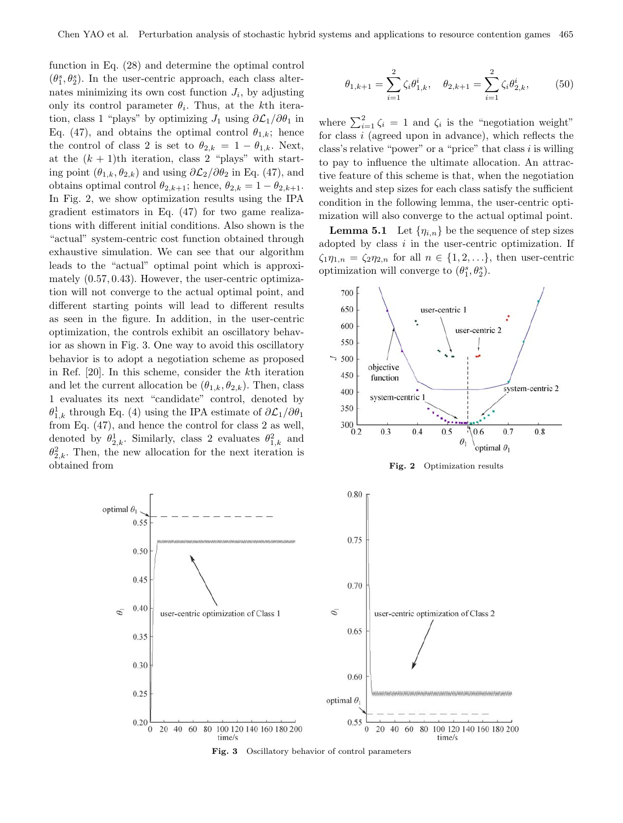function in Eq. (28) and determine the optimal control  $(\theta_1^s, \theta_2^s)$ . In the user-centric approach, each class alternates minimizing its own cost function  $J_i$ , by adjusting only its control parameter  $\theta_i$ . Thus, at the kth iteration, class 1 "plays" by optimizing  $J_1$  using  $\partial \mathcal{L}_1/\partial \theta_1$  in Eq. (47), and obtains the optimal control  $\theta_{1,k}$ ; hence the control of class 2 is set to  $\theta_{2,k} = 1 - \theta_{1,k}$ . Next, at the  $(k + 1)$ th iteration, class 2 "plays" with starting point  $(\theta_{1,k}, \theta_{2,k})$  and using  $\partial \mathcal{L}_2/\partial \theta_2$  in Eq. (47), and obtains optimal control  $\theta_{2,k+1}$ ; hence,  $\theta_{2,k} = 1 - \theta_{2,k+1}$ . In Fig. 2, we show optimization results using the IPA gradient estimators in Eq. (47) for two game realizations with different initial conditions. Also shown is the "actual" system-centric cost function obtained through exhaustive simulation. We can see that our algorithm leads to the "actual" optimal point which is approximately (0.57, 0.43). However, the user-centric optimization will not converge to the actual optimal point, and different starting points will lead to different results as seen in the figure. In addition, in the user-centric optimization, the controls exhibit an oscillatory behavior as shown in Fig. 3. One way to avoid this oscillatory behavior is to adopt a negotiation scheme as proposed in Ref. [20]. In this scheme, consider the kth iteration and let the current allocation be  $(\theta_{1,k}, \theta_{2,k})$ . Then, class 1 evaluates its next "candidate" control, denoted by  $\theta_{1,k}^1$  through Eq. (4) using the IPA estimate of  $\partial \mathcal{L}_1/\partial \theta_1$ <br>from Eq. (47), and bange the central for class 2 as well. from Eq. (47), and hence the control for class 2 as well, denoted by  $\theta_{2,k}^1$ . Similarly, class 2 evaluates  $\theta_{1,k}^2$  and  $\theta_{2,k}^2$ . Then, the new allocation for the next iteration is  $\theta_{2,k}^2$ . Then, the new allocation for the next iteration is obtained from

$$
\theta_{1,k+1} = \sum_{i=1}^{2} \zeta_i \theta_{1,k}^i, \quad \theta_{2,k+1} = \sum_{i=1}^{2} \zeta_i \theta_{2,k}^i, \tag{50}
$$

where  $\sum_{i=1}^{2} \zeta_i = 1$  and  $\zeta_i$  is the "negotiation weight"<br>for class *i* (agreed upon in advance), which reflects the for class  $i$  (agreed upon in advance), which reflects the class's relative "power" or a "price" that class  $i$  is willing to pay to influence the ultimate allocation. An attractive feature of this scheme is that, when the negotiation weights and step sizes for each class satisfy the sufficient condition in the following lemma, the user-centric optimization will also converge to the actual optimal point.

**Lemma 5.1** Let  $\{\eta_{i,n}\}\)$  be the sequence of step sizes adopted by class  $i$  in the user-centric optimization. If  $\zeta_1\eta_{1,n} = \zeta_2\eta_{2,n}$  for all  $n \in \{1, 2, ...\}$ , then user-centric optimization will converge to  $(\theta_1^s, \theta_2^s)$ .



**Fig. 2** Optimization results



**Fig. 3** Oscillatory behavior of control parameters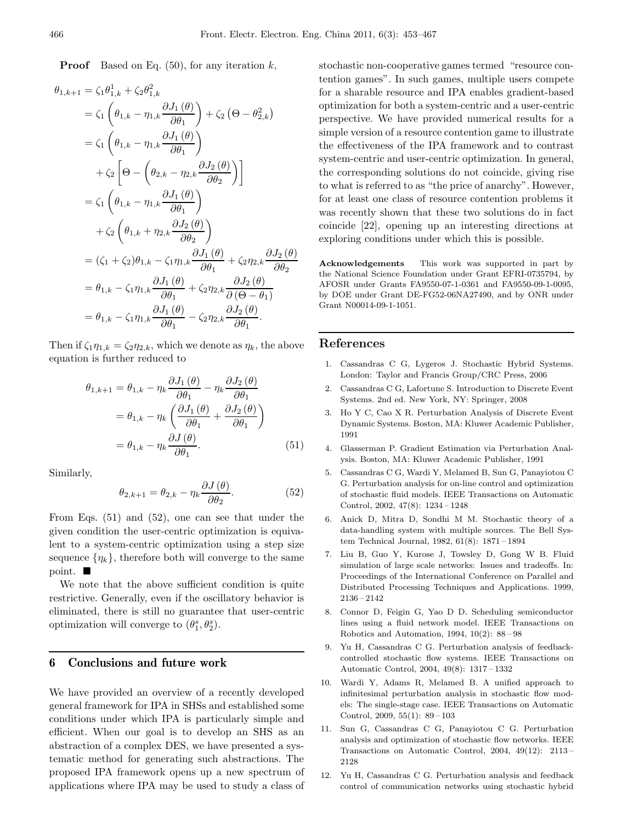**Proof** Based on Eq. (50), for any iteration k,

$$
\theta_{1,k+1} = \zeta_1 \theta_{1,k}^1 + \zeta_2 \theta_{1,k}^2
$$
  
\n
$$
= \zeta_1 \left( \theta_{1,k} - \eta_{1,k} \frac{\partial J_1(\theta)}{\partial \theta_1} \right) + \zeta_2 \left( \Theta - \theta_{2,k}^2 \right)
$$
  
\n
$$
= \zeta_1 \left( \theta_{1,k} - \eta_{1,k} \frac{\partial J_1(\theta)}{\partial \theta_1} \right)
$$
  
\n
$$
+ \zeta_2 \left[ \Theta - \left( \theta_{2,k} - \eta_{2,k} \frac{\partial J_2(\theta)}{\partial \theta_2} \right) \right]
$$
  
\n
$$
= \zeta_1 \left( \theta_{1,k} - \eta_{1,k} \frac{\partial J_1(\theta)}{\partial \theta_1} \right)
$$
  
\n
$$
+ \zeta_2 \left( \theta_{1,k} + \eta_{2,k} \frac{\partial J_2(\theta)}{\partial \theta_2} \right)
$$
  
\n
$$
= (\zeta_1 + \zeta_2) \theta_{1,k} - \zeta_1 \eta_{1,k} \frac{\partial J_1(\theta)}{\partial \theta_1} + \zeta_2 \eta_{2,k} \frac{\partial J_2(\theta)}{\partial \theta_2}
$$
  
\n
$$
= \theta_{1,k} - \zeta_1 \eta_{1,k} \frac{\partial J_1(\theta)}{\partial \theta_1} + \zeta_2 \eta_{2,k} \frac{\partial J_2(\theta)}{\partial (\theta - \theta_1)}
$$
  
\n
$$
= \theta_{1,k} - \zeta_1 \eta_{1,k} \frac{\partial J_1(\theta)}{\partial \theta_1} - \zeta_2 \eta_{2,k} \frac{\partial J_2(\theta)}{\partial \theta_1}.
$$

Then if  $\zeta_1 \eta_{1,k} = \zeta_2 \eta_{2,k}$ , which we denote as  $\eta_k$ , the above equation is further reduced to

$$
\theta_{1,k+1} = \theta_{1,k} - \eta_k \frac{\partial J_1(\theta)}{\partial \theta_1} - \eta_k \frac{\partial J_2(\theta)}{\partial \theta_1}
$$

$$
= \theta_{1,k} - \eta_k \left( \frac{\partial J_1(\theta)}{\partial \theta_1} + \frac{\partial J_2(\theta)}{\partial \theta_1} \right)
$$

$$
= \theta_{1,k} - \eta_k \frac{\partial J(\theta)}{\partial \theta_1}.
$$
(51)

Similarly,

$$
\theta_{2,k+1} = \theta_{2,k} - \eta_k \frac{\partial J(\theta)}{\partial \theta_2}.
$$
 (52)

From Eqs. (51) and (52), one can see that under the given condition the user-centric optimization is equivalent to a system-centric optimization using a step size sequence  $\{\eta_k\}$ , therefore both will converge to the same point.

We note that the above sufficient condition is quite restrictive. Generally, even if the oscillatory behavior is eliminated, there is still no guarantee that user-centric optimization will converge to  $(\theta_1^s, \theta_2^s)$ .

# **6 Conclusions and future work**

We have provided an overview of a recently developed general framework for IPA in SHSs and established some conditions under which IPA is particularly simple and efficient. When our goal is to develop an SHS as an abstraction of a complex DES, we have presented a systematic method for generating such abstractions. The proposed IPA framework opens up a new spectrum of applications where IPA may be used to study a class of stochastic non-cooperative games termed "resource contention games". In such games, multiple users compete for a sharable resource and IPA enables gradient-based optimization for both a system-centric and a user-centric perspective. We have provided numerical results for a simple version of a resource contention game to illustrate the effectiveness of the IPA framework and to contrast system-centric and user-centric optimization. In general, the corresponding solutions do not coincide, giving rise to what is referred to as "the price of anarchy". However, for at least one class of resource contention problems it was recently shown that these two solutions do in fact coincide [22], opening up an interesting directions at exploring conditions under which this is possible.

**Acknowledgements** This work was supported in part by the National Science Foundation under Grant EFRI-0735794, by AFOSR under Grants FA9550-07-1-0361 and FA9550-09-1-0095, by DOE under Grant DE-FG52-06NA27490, and by ONR under Grant N00014-09-1-1051.

#### **References**

- 1. Cassandras C G, Lygeros J. Stochastic Hybrid Systems. London: Taylor and Francis Group/CRC Press, 2006
- 2. Cassandras C G, Lafortune S. Introduction to Discrete Event Systems. 2nd ed. New York, NY: Springer, 2008
- 3. Ho Y C, Cao X R. Perturbation Analysis of Discrete Event Dynamic Systems. Boston, MA: Kluwer Academic Publisher, 1991
- 4. Glasserman P. Gradient Estimation via Perturbation Analysis. Boston, MA: Kluwer Academic Publisher, 1991
- 5. Cassandras C G, Wardi Y, Melamed B, Sun G, Panayiotou C G. Perturbation analysis for on-line control and optimization of stochastic fluid models. IEEE Transactions on Automatic Control, 2002, 47(8): 1234 – 1248
- 6. Anick D, Mitra D, Sondhi M M. Stochastic theory of a data-handling system with multiple sources. The Bell System Technical Journal, 1982, 61(8): 1871 – 1894
- 7. Liu B, Guo Y, Kurose J, Towsley D, Gong W B. Fluid simulation of large scale networks: Issues and tradeoffs. In: Proceedings of the International Conference on Parallel and Distributed Processing Techniques and Applications. 1999, 2136 – 2142
- 8. Connor D, Feigin G, Yao D D. Scheduling semiconductor lines using a fluid network model. IEEE Transactions on Robotics and Automation, 1994, 10(2): 88 – 98
- 9. Yu H, Cassandras C G. Perturbation analysis of feedbackcontrolled stochastic flow systems. IEEE Transactions on Automatic Control, 2004, 49(8): 1317 – 1332
- 10. Wardi Y, Adams R, Melamed B. A unified approach to infinitesimal perturbation analysis in stochastic flow models: The single-stage case. IEEE Transactions on Automatic Control, 2009, 55(1): 89 – 103
- 11. Sun G, Cassandras C G, Panayiotou C G. Perturbation analysis and optimization of stochastic flow networks. IEEE Transactions on Automatic Control, 2004, 49(12): 2113 – 2128
- 12. Yu H, Cassandras C G. Perturbation analysis and feedback control of communication networks using stochastic hybrid